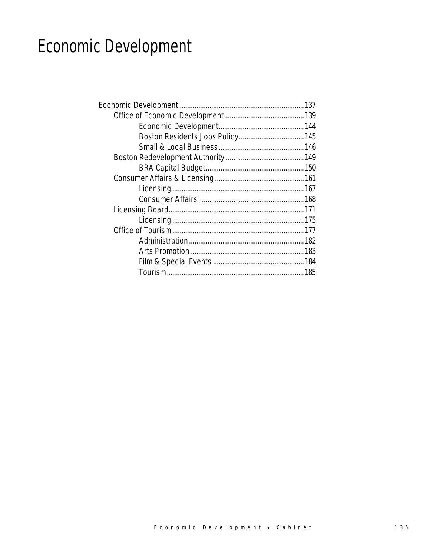# Economic Development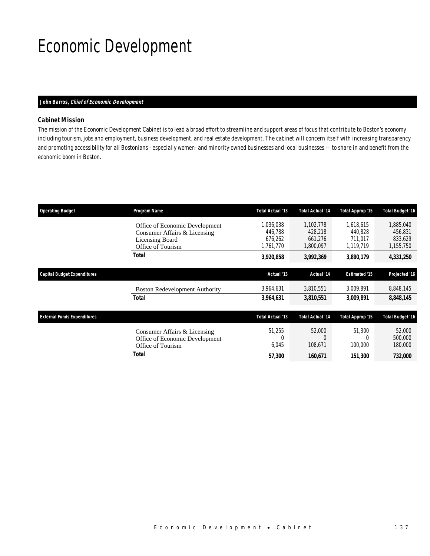## Economic Development

#### *John Barros, Chief of Economic Development*

### *Cabinet Mission*

The mission of the Economic Development Cabinet is to lead a broad effort to streamline and support areas of focus that contribute to Boston's economy including tourism, jobs and employment, business development, and real estate development. The cabinet will concern itself with increasing transparency and promoting accessibility for all Bostonians - especially women- and minority-owned businesses and local businesses -– to share in and benefit from the economic boom in Boston.

| <b>Operating Budget</b>            | Program Name                                                                                           | Total Actual '13                             | <b>Total Actual '14</b>                      | Total Approp '15                             | <b>Total Budget '16</b>                      |
|------------------------------------|--------------------------------------------------------------------------------------------------------|----------------------------------------------|----------------------------------------------|----------------------------------------------|----------------------------------------------|
|                                    | Office of Economic Development<br>Consumer Affairs & Licensing<br>Licensing Board<br>Office of Tourism | 1,036,038<br>446,788<br>676,262<br>1,761,770 | 1,102,778<br>428,218<br>661,276<br>1,800,097 | 1.618.615<br>440,828<br>711.017<br>1,119,719 | 1,885,040<br>456,831<br>833,629<br>1,155,750 |
|                                    | Total                                                                                                  | 3,920,858                                    | 3,992,369                                    | 3,890,179                                    | 4,331,250                                    |
| Capital Budget Expenditures        |                                                                                                        | Actual '13                                   | Actual '14                                   | <b>Estimated '15</b>                         | Projected '16                                |
|                                    | <b>Boston Redevelopment Authority</b>                                                                  | 3,964,631                                    | 3,810,551                                    | 3,009,891                                    | 8,848,145                                    |
|                                    | <b>Total</b>                                                                                           | 3,964,631                                    | 3,810,551                                    | 3,009,891                                    | 8,848,145                                    |
| <b>External Funds Expenditures</b> |                                                                                                        | Total Actual '13                             | <b>Total Actual '14</b>                      | Total Approp '15                             | <b>Total Budget '16</b>                      |
|                                    | Consumer Affairs & Licensing<br>Office of Economic Development<br>Office of Tourism                    | 51,255<br>0<br>6,045                         | 52,000<br>108,671                            | 51,300<br>100,000                            | 52,000<br>500,000<br>180,000                 |
|                                    | <b>Total</b>                                                                                           | 57,300                                       | 160,671                                      | 151,300                                      | 732,000                                      |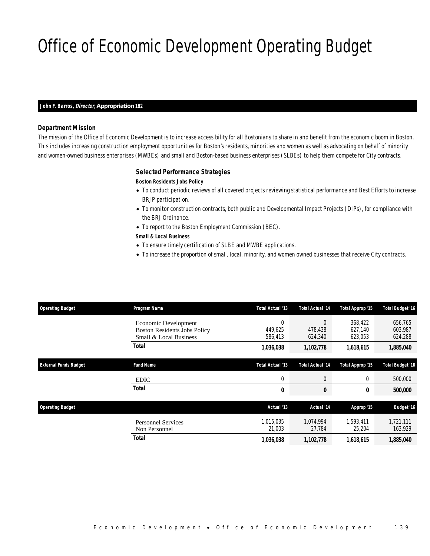## Office of Economic Development Operating Budget

#### *John F. Barros, Director, Appropriation 182*

### *Department Mission*

The mission of the Office of Economic Development is to increase accessibility for all Bostonians to share in and benefit from the economic boom in Boston. This includes increasing construction employment opportunities for Boston's residents, minorities and women as well as advocating on behalf of minority and women-owned business enterprises (MWBEs) and small and Boston-based business enterprises (SLBEs) to help them compete for City contracts.

#### *Selected Performance Strategies*

#### *Boston Residents Jobs Policy*

- To conduct periodic reviews of all covered projects reviewing statistical performance and Best Efforts to increase BRJP participation.
- To monitor construction contracts, both public and Developmental Impact Projects (DIPs), for compliance with the BRJ Ordinance.
- To report to the Boston Employment Commission (BEC).

#### *Small & Local Business*

- To ensure timely certification of SLBE and MWBE applications.
- To increase the proportion of small, local, minority, and women owned businesses that receive City contracts.

| <b>Operating Budget</b>      | Program Name                                                                          | Total Actual '13               | <b>Total Actual '14</b>        | Total Approp '15              | <b>Total Budget '16</b>       |
|------------------------------|---------------------------------------------------------------------------------------|--------------------------------|--------------------------------|-------------------------------|-------------------------------|
|                              | Economic Development<br><b>Boston Residents Jobs Policy</b><br>Small & Local Business | $\theta$<br>449.625<br>586,413 | $\theta$<br>478,438<br>624,340 | 368.422<br>627.140<br>623,053 | 656,765<br>603,987<br>624,288 |
|                              | Total                                                                                 | 1,036,038                      | 1,102,778                      | 1,618,615                     | 1,885,040                     |
| <b>External Funds Budget</b> | <b>Fund Name</b>                                                                      | Total Actual '13               | <b>Total Actual '14</b>        | Total Approp '15              | <b>Total Budget '16</b>       |
|                              | <b>EDIC</b>                                                                           | $\mathbf 0$                    | $\overline{0}$                 | 0                             | 500,000                       |
|                              | <b>Total</b>                                                                          | 0                              | 0                              | 0                             | 500,000                       |
| <b>Operating Budget</b>      |                                                                                       | Actual '13                     | Actual '14                     | Approp '15                    | <b>Budget '16</b>             |
|                              | <b>Personnel Services</b><br>Non Personnel                                            | 1.015.035<br>21,003            | 1.074.994<br>27,784            | 1.593.411<br>25,204           | 1,721,111<br>163,929          |
|                              | Total                                                                                 | 1,036,038                      | 1,102,778                      | 1,618,615                     | 1,885,040                     |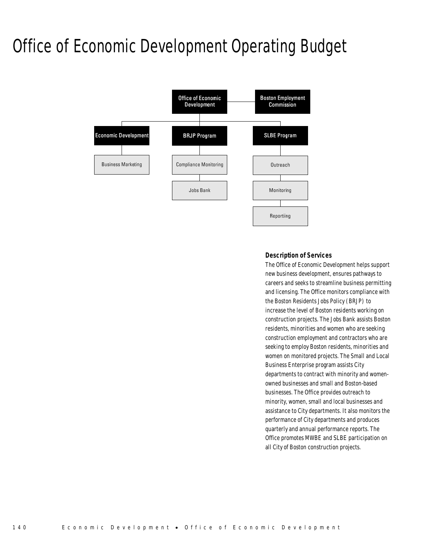## Office of Economic Development Operating Budget



#### *Description of Services*

The Office of Economic Development helps support new business development, ensures pathways to careers and seeks to streamline business permitting and licensing. The Office monitors compliance with the Boston Residents Jobs Policy (BRJP) to increase the level of Boston residents working on construction projects. The Jobs Bank assists Boston residents, minorities and women who are seeking construction employment and contractors who are seeking to employ Boston residents, minorities and women on monitored projects. The Small and Local Business Enterprise program assists City departments to contract with minority and womenowned businesses and small and Boston-based businesses. The Office provides outreach to minority, women, small and local businesses and assistance to City departments. It also monitors the performance of City departments and produces quarterly and annual performance reports. The Office promotes MWBE and SLBE participation on all City of Boston construction projects.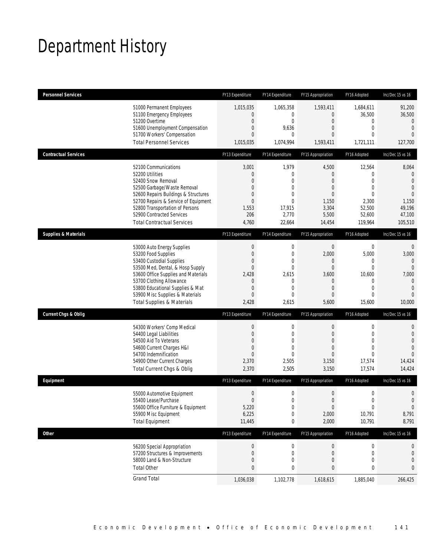## Department History

| <b>Personnel Services</b>       |                                       | FY13 Expenditure | FY14 Expenditure | FY15 Appropriation | FY16 Adopted     | Inc/Dec 15 vs 16 |
|---------------------------------|---------------------------------------|------------------|------------------|--------------------|------------------|------------------|
|                                 | 51000 Permanent Employees             | 1,015,035        | 1,065,358        | 1,593,411          | 1,684,611        | 91,200           |
|                                 | 51100 Emergency Employees             | 0                | 0                | $\overline{0}$     | 36,500           | 36,500           |
|                                 | 51200 Overtime                        | 0                | $\mathbf{0}$     | $\overline{0}$     | 0                | $\mathbf{0}$     |
|                                 | 51600 Unemployment Compensation       | $\overline{0}$   | 9,636            | $\theta$           | $\mathbf 0$      | $\overline{0}$   |
|                                 | 51700 Workers' Compensation           | $\overline{0}$   | $\mathbf{0}$     | $\overline{0}$     | $\mathbf{0}$     | $\Omega$         |
|                                 | <b>Total Personnel Services</b>       | 1,015,035        | 1,074,994        | 1,593,411          | 1,721,111        | 127,700          |
| <b>Contractual Services</b>     |                                       | FY13 Expenditure | FY14 Expenditure | FY15 Appropriation | FY16 Adopted     | Inc/Dec 15 vs 16 |
|                                 | 52100 Communications                  | 3,001            | 1,979            | 4,500              | 12,564           | 8,064            |
|                                 | 52200 Utilities                       | 0                | $\mathbf{0}$     | $\theta$           | $\mathbf{0}$     | $\mathbf{0}$     |
|                                 | 52400 Snow Removal                    | $\overline{0}$   | $\mathbf{0}$     | $\overline{0}$     | $\overline{0}$   | $\mathbf{0}$     |
|                                 | 52500 Garbage/Waste Removal           | 0                | $\mathbf{0}$     | $\theta$           | $\mathbf{0}$     | $\overline{0}$   |
|                                 | 52600 Repairs Buildings & Structures  | 0                | $\mathbf 0$      | $\theta$           | $\Omega$         | $\overline{0}$   |
|                                 | 52700 Repairs & Service of Equipment  | $\overline{0}$   | $\mathbf{0}$     | 1,150              | 2,300            | 1,150            |
|                                 | 52800 Transportation of Persons       | 1,553            | 17,915           | 3,304              | 52,500           | 49,196           |
|                                 | 52900 Contracted Services             | 206              | 2,770            | 5,500              | 52,600           | 47,100           |
|                                 | <b>Total Contractual Services</b>     | 4,760            | 22,664           | 14,454             | 119,964          | 105,510          |
| <b>Supplies &amp; Materials</b> |                                       | FY13 Expenditure | FY14 Expenditure | FY15 Appropriation | FY16 Adopted     | Inc/Dec 15 vs 16 |
|                                 | 53000 Auto Energy Supplies            | 0                | $\mathbf 0$      | $\mathbf 0$        | $\mathbf 0$      | $\mathbf 0$      |
|                                 | 53200 Food Supplies                   | $\overline{0}$   | $\mathbf 0$      | 2,000              | 5,000            | 3,000            |
|                                 | 53400 Custodial Supplies              | 0                | $\mathbf 0$      | $\theta$           | 0                | $\mathbf{0}$     |
|                                 | 53500 Med, Dental, & Hosp Supply      | $\overline{0}$   | $\mathbf{0}$     | $\overline{0}$     | $\overline{0}$   | $\overline{0}$   |
|                                 | 53600 Office Supplies and Materials   | 2,428            | 2,615            | 3,600              | 10,600           | 7,000            |
|                                 | 53700 Clothing Allowance              | 0                | 0                | $\theta$           | 0                | $\theta$         |
|                                 | 53800 Educational Supplies & Mat      | $\overline{0}$   | $\mathbf 0$      | $\theta$           | $\mathbf{0}$     | $\overline{0}$   |
|                                 | 53900 Misc Supplies & Materials       | $\overline{0}$   | $\overline{0}$   | $\overline{0}$     | $\overline{0}$   | $\overline{0}$   |
|                                 | <b>Total Supplies &amp; Materials</b> | 2,428            | 2,615            | 5,600              | 15,600           | 10,000           |
| <b>Current Chgs &amp; Oblig</b> |                                       | FY13 Expenditure | FY14 Expenditure | FY15 Appropriation | FY16 Adopted     | Inc/Dec 15 vs 16 |
|                                 | 54300 Workers' Comp Medical           | $\boldsymbol{0}$ | $\boldsymbol{0}$ | $\boldsymbol{0}$   | 0                | $\mathbf 0$      |
|                                 | 54400 Legal Liabilities               | $\boldsymbol{0}$ | $\mathbf 0$      | $\overline{0}$     | $\mathbf{0}$     | $\mathbf 0$      |
|                                 | 54500 Aid To Veterans                 | $\overline{0}$   | $\Omega$         | $\theta$           | $\Omega$         | $\overline{0}$   |
|                                 | 54600 Current Charges H&I             | $\overline{0}$   | $\mathbf 0$      | $\overline{0}$     | $\mathbf{0}$     | $\overline{0}$   |
|                                 | 54700 Indemnification                 | $\overline{0}$   | $\mathbf 0$      | $\theta$           | $\Omega$         | $\Omega$         |
|                                 | 54900 Other Current Charges           | 2,370            | 2,505            | 3,150              | 17,574           | 14,424           |
|                                 | Total Current Chgs & Oblig            | 2,370            | 2,505            | 3,150              | 17,574           | 14,424           |
| Equipment                       |                                       | FY13 Expenditure | FY14 Expenditure | FY15 Appropriation | FY16 Adopted     | Inc/Dec 15 vs 16 |
|                                 | 55000 Automotive Equipment            | $\boldsymbol{0}$ | $\mathbf 0$      | $\boldsymbol{0}$   | $\boldsymbol{0}$ | $\mathbf 0$      |
|                                 | 55400 Lease/Purchase                  | $\Omega$         | $\Omega$         | $\boldsymbol{0}$   | $\theta$         | $\Omega$         |
|                                 | 55600 Office Furniture & Equipment    | 5,220            | $\boldsymbol{0}$ | $\boldsymbol{0}$   | $\boldsymbol{0}$ | $\boldsymbol{0}$ |
|                                 | 55900 Misc Equipment                  | 6,225            | 0                | 2,000              | 10,791           | 8,791            |
|                                 | <b>Total Equipment</b>                | 11,445           | 0                | 2,000              | 10,791           | 8,791            |
| Other                           |                                       | FY13 Expenditure | FY14 Expenditure | FY15 Appropriation | FY16 Adopted     | Inc/Dec 15 vs 16 |
|                                 | 56200 Special Appropriation           | $\boldsymbol{0}$ | 0                | $\boldsymbol{0}$   | 0                | 0                |
|                                 | 57200 Structures & Improvements       | 0                | 0                | $\theta$           | 0                | 0                |
|                                 | 58000 Land & Non-Structure            | 0                | 0                | $\theta$           | $\mathbf 0$      | 0                |
|                                 | <b>Total Other</b>                    | 0                | 0                | 0                  | 0                | 0                |
|                                 | <b>Grand Total</b>                    | 1,036,038        | 1,102,778        | 1,618,615          | 1,885,040        | 266,425          |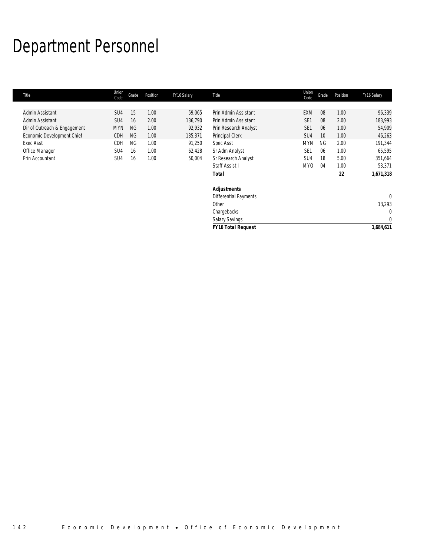## Department Personnel

| Title                        | Union<br>Code   | Grade     | Position | FY16 Salary | Title                        | Union<br>Code   | Grade     | Position | FY16 Salary  |
|------------------------------|-----------------|-----------|----------|-------------|------------------------------|-----------------|-----------|----------|--------------|
|                              |                 |           |          |             |                              |                 |           |          |              |
| Admin Assistant              | SU <sub>4</sub> | 15        | 1.00     | 59,065      | Prin Admin Assistant         | <b>EXM</b>      | 08        | 1.00     | 96,339       |
| Admin Assistant              | SU <sub>4</sub> | 16        | 2.00     | 136,790     | Prin Admin Assistant         | SE <sub>1</sub> | 08        | 2.00     | 183,993      |
| Dir of Outreach & Engagement | <b>MYN</b>      | <b>NG</b> | 1.00     | 92,932      | Prin Research Analyst        | SE <sub>1</sub> | 06        | 1.00     | 54,909       |
| Economic Development Chief   | CDH             | <b>NG</b> | 1.00     | 135,371     | Principal Clerk              | SU <sub>4</sub> | 10        | 1.00     | 46,263       |
| <b>Exec Asst</b>             | CDH             | <b>NG</b> | 1.00     | 91,250      | Spec Asst                    | <b>MYN</b>      | <b>NG</b> | 2.00     | 191,344      |
| Office Manager               | SU4             | 16        | 1.00     | 62,428      | Sr Adm Analyst               | SE <sub>1</sub> | 06        | 1.00     | 65,595       |
| Prin Accountant              | SU <sub>4</sub> | 16        | 1.00     | 50,004      | Sr Research Analyst          | SU4             | 18        | 5.00     | 351,664      |
|                              |                 |           |          |             | Staff Assist I               | MY0             | 04        | 1.00     | 53,371       |
|                              |                 |           |          |             | <b>Total</b>                 |                 |           | 22       | 1,671,318    |
|                              |                 |           |          |             | <b>Adjustments</b>           |                 |           |          |              |
|                              |                 |           |          |             | <b>Differential Payments</b> |                 |           |          | $\Omega$     |
|                              |                 |           |          |             | Other                        |                 |           |          | 13,293       |
|                              |                 |           |          |             | Chargebacks                  |                 |           |          | $\mathbf{0}$ |
|                              |                 |           |          |             | <b>Salary Savings</b>        |                 |           |          | $\mathbf{0}$ |
|                              |                 |           |          |             | <b>FY16 Total Request</b>    |                 |           |          | 1,684,611    |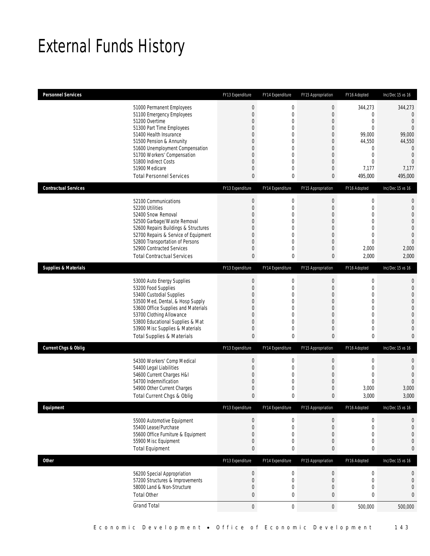## External Funds History

| <b>Personnel Services</b>       |                                                                                                                                                                                                                                                                                                            | FY13 Expenditure                                                                                                               | FY14 Expenditure                                                                                                        | FY15 Appropriation                                                                                | FY16 Adopted                                                                                                                                | Inc/Dec 15 vs 16                                                                                                                                |
|---------------------------------|------------------------------------------------------------------------------------------------------------------------------------------------------------------------------------------------------------------------------------------------------------------------------------------------------------|--------------------------------------------------------------------------------------------------------------------------------|-------------------------------------------------------------------------------------------------------------------------|---------------------------------------------------------------------------------------------------|---------------------------------------------------------------------------------------------------------------------------------------------|-------------------------------------------------------------------------------------------------------------------------------------------------|
|                                 | 51000 Permanent Employees<br>51100 Emergency Employees<br>51200 Overtime<br>51300 Part Time Employees<br>51400 Health Insurance<br>51500 Pension & Annunity<br>51600 Unemployment Compensation<br>51700 Workers' Compensation<br>51800 Indirect Costs<br>51900 Medicare<br><b>Total Personnel Services</b> | $\boldsymbol{0}$<br>$\boldsymbol{0}$<br>$\boldsymbol{0}$<br>0<br>0<br>0<br>0<br>$\boldsymbol{0}$<br>0<br>$\boldsymbol{0}$<br>0 | $\boldsymbol{0}$<br>$\mathbf 0$<br>$\mathbf 0$<br>0<br>$\Omega$<br>0<br>0<br>$\overline{0}$<br>0<br>$\overline{0}$<br>0 | $\mathbf 0$<br>0<br>$\mathbf 0$<br>0<br>0<br>0<br>0<br>$\mathbf 0$<br>0<br>$\mathbf 0$<br>0       | 344,273<br>$\mathbf 0$<br>$\mathbf 0$<br>$\mathbf{0}$<br>99,000<br>44,550<br>$\mathbf 0$<br>$\mathbf 0$<br>$\mathbf{0}$<br>7,177<br>495,000 | 344,273<br>$\theta$<br>$\mathbf 0$<br>$\overline{0}$<br>99,000<br>44,550<br>$\mathbf{0}$<br>$\mathbf{0}$<br>$\overline{0}$<br>7,177<br>495,000  |
| <b>Contractual Services</b>     |                                                                                                                                                                                                                                                                                                            | FY13 Expenditure                                                                                                               | FY14 Expenditure                                                                                                        | FY15 Appropriation                                                                                | FY16 Adopted                                                                                                                                | Inc/Dec 15 vs 16                                                                                                                                |
|                                 | 52100 Communications<br>52200 Utilities<br>52400 Snow Removal<br>52500 Garbage/Waste Removal<br>52600 Repairs Buildings & Structures<br>52700 Repairs & Service of Equipment<br>52800 Transportation of Persons<br>52900 Contracted Services<br><b>Total Contractual Services</b>                          | $\boldsymbol{0}$<br>$\boldsymbol{0}$<br>0<br>0<br>0<br>$\boldsymbol{0}$<br>0<br>0<br>$\bf{0}$                                  | $\boldsymbol{0}$<br>$\mathbf 0$<br>$\Omega$<br>$\overline{0}$<br>0<br>$\mathbf 0$<br>$\overline{0}$<br>0<br>0           | $\boldsymbol{0}$<br>$\boldsymbol{0}$<br>0<br>0<br>0<br>$\overline{0}$<br>$\overline{0}$<br>0<br>0 | $\boldsymbol{0}$<br>$\mathbf 0$<br>$\mathbf{0}$<br>$\mathbf 0$<br>$\mathbf{0}$<br>$\mathbf 0$<br>$\overline{0}$<br>2,000<br>2,000           | 0<br>$\mathbf 0$<br>$\overline{0}$<br>$\overline{0}$<br>$\mathbf 0$<br>$\overline{0}$<br>$\overline{0}$<br>2,000<br>2,000                       |
| <b>Supplies &amp; Materials</b> |                                                                                                                                                                                                                                                                                                            | FY13 Expenditure                                                                                                               | FY14 Expenditure                                                                                                        | FY15 Appropriation                                                                                | FY16 Adopted                                                                                                                                | Inc/Dec 15 vs 16                                                                                                                                |
|                                 | 53000 Auto Energy Supplies<br>53200 Food Supplies<br>53400 Custodial Supplies<br>53500 Med, Dental, & Hosp Supply<br>53600 Office Supplies and Materials<br>53700 Clothing Allowance<br>53800 Educational Supplies & Mat<br>53900 Misc Supplies & Materials<br><b>Total Supplies &amp; Materials</b>       | $\bf{0}$<br>$\boldsymbol{0}$<br>0<br>0<br>0<br>$\boldsymbol{0}$<br>0<br>0<br>$\bf{0}$                                          | 0<br>$\mathbf 0$<br>0<br>$\mathbf 0$<br>0<br>$\overline{0}$<br>$\overline{0}$<br>0<br>0                                 | $\mathbf 0$<br>$\boldsymbol{0}$<br>0<br>0<br>0<br>$\overline{0}$<br>$\overline{0}$<br>0<br>0      | $\boldsymbol{0}$<br>$\mathbf 0$<br>$\overline{0}$<br>$\mathbf 0$<br>$\mathbf{0}$<br>$\mathbf 0$<br>$\mathbf{0}$<br>$\mathbf 0$<br>$\bf{0}$  | $\mathbf 0$<br>$\mathbf 0$<br>$\overline{0}$<br>$\overline{0}$<br>$\mathbf 0$<br>$\overline{0}$<br>$\mathbf{0}$<br>$\mathbf{0}$<br>$\mathbf{0}$ |
| <b>Current Chgs &amp; Oblig</b> |                                                                                                                                                                                                                                                                                                            | FY13 Expenditure                                                                                                               | FY14 Expenditure                                                                                                        | FY15 Appropriation                                                                                | FY16 Adopted                                                                                                                                | Inc/Dec 15 vs 16                                                                                                                                |
|                                 | 54300 Workers' Comp Medical<br>54400 Legal Liabilities<br>54600 Current Charges H&I<br>54700 Indemnification<br>54900 Other Current Charges<br>Total Current Chgs & Oblig                                                                                                                                  | $\pmb{0}$<br>$\boldsymbol{0}$<br>0<br>$\boldsymbol{0}$<br>0<br>$\mathbf{0}$                                                    | 0<br>$\mathbf 0$<br>0<br>$\overline{0}$<br>0<br>0                                                                       | $\boldsymbol{0}$<br>$\boldsymbol{0}$<br>0<br>0<br>0<br>$\mathbf{0}$                               | $\boldsymbol{0}$<br>$\mathbf 0$<br>$\mathbf{0}$<br>$\mathbf{0}$<br>3,000<br>3,000                                                           | 0<br>$\mathbf{0}$<br>$\overline{0}$<br>$\overline{0}$<br>3,000<br>3,000                                                                         |
| Equipment                       |                                                                                                                                                                                                                                                                                                            | FY13 Expenditure                                                                                                               | FY14 Expenditure                                                                                                        | FY15 Appropriation                                                                                | FY16 Adopted                                                                                                                                | Inc/Dec 15 vs 16                                                                                                                                |
|                                 | 55000 Automotive Equipment<br>55400 Lease/Purchase<br>55600 Office Furniture & Equipment<br>55900 Misc Equipment<br><b>Total Equipment</b>                                                                                                                                                                 | $\boldsymbol{0}$<br>$\boldsymbol{0}$<br>$\boldsymbol{0}$<br>0<br>0                                                             | 0<br>$\mathbf 0$<br>0<br>0<br>0                                                                                         | $\boldsymbol{0}$<br>$\boldsymbol{0}$<br>0<br>0<br>0                                               | $\boldsymbol{0}$<br>$\boldsymbol{0}$<br>$\mathbf{0}$<br>$\mathbf 0$<br>$\mathbf 0$                                                          | 0<br>$\mathbf{0}$<br>$\mathbf 0$<br>$\mathbf{0}$<br>$\bf{0}$                                                                                    |
| Other                           |                                                                                                                                                                                                                                                                                                            | FY13 Expenditure                                                                                                               | FY14 Expenditure                                                                                                        | FY15 Appropriation                                                                                | FY16 Adopted                                                                                                                                | Inc/Dec 15 vs 16                                                                                                                                |
|                                 | 56200 Special Appropriation<br>57200 Structures & Improvements<br>58000 Land & Non-Structure<br><b>Total Other</b>                                                                                                                                                                                         | $\pmb{0}$<br>$\boldsymbol{0}$<br>0<br>$\mathbf{0}$                                                                             | 0<br>$\mathbf 0$<br>0<br>0                                                                                              | $\boldsymbol{0}$<br>$\mathbf 0$<br>0<br>$\bf{0}$                                                  | $\boldsymbol{0}$<br>$\mathbf 0$<br>$\mathbf 0$<br>$\mathbf 0$                                                                               | 0<br>$\boldsymbol{0}$<br>$\mathbf 0$<br>$\bf{0}$                                                                                                |
|                                 | <b>Grand Total</b>                                                                                                                                                                                                                                                                                         | $\boldsymbol{0}$                                                                                                               | $\mathbf 0$                                                                                                             | $\boldsymbol{0}$                                                                                  | 500,000                                                                                                                                     | 500,000                                                                                                                                         |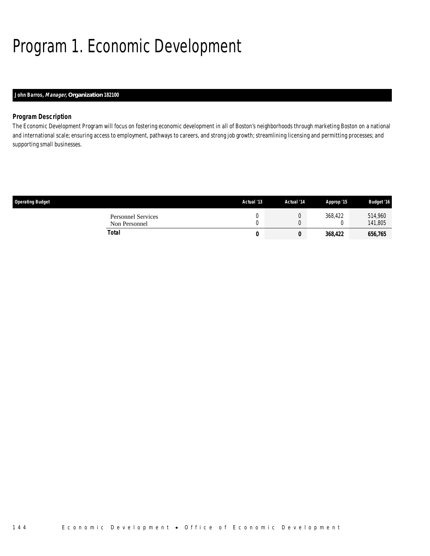# Program 1. Economic Development

### *John Barros, Manager, Organization 182100*

### *Program Description*

The Economic Development Program will focus on fostering economic development in all of Boston's neighborhoods through marketing Boston on a national and international scale; ensuring access to employment, pathways to careers, and strong job growth; streamlining licensing and permitting processes; and supporting small businesses.

| <b>Operating Budget</b>                    | Actual '13 | Actual '14 | Approp '15 | <b>Budget '16</b>  |
|--------------------------------------------|------------|------------|------------|--------------------|
| <b>Personnel Services</b><br>Non Personnel |            |            | 368.422    | 514,960<br>141,805 |
| Total                                      | 0          |            | 368,422    | 656,765            |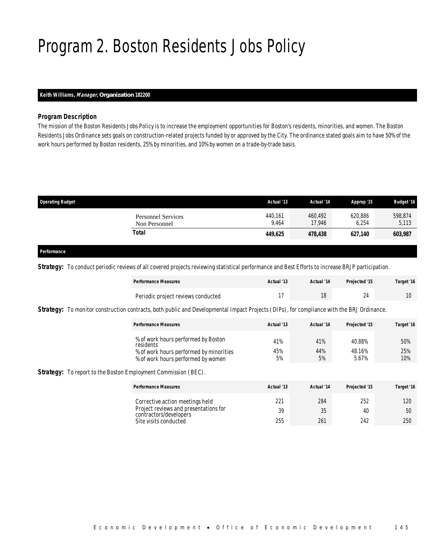## Program 2. Boston Residents Jobs Policy

### *Keith Williams, Manager, Organization 182200*

#### *Program Description*

The mission of the Boston Residents Jobs Policy is to increase the employment opportunities for Boston's residents, minorities, and women. The Boston Residents Jobs Ordinance sets goals on construction-related projects funded by or approved by the City. The ordinance stated goals aim to have 50% of the work hours performed by Boston residents, 25% by minorities, and 10% by women on a trade-by-trade basis.

| <b>Operating Budget</b>                    | Actual '13       | Actual '14        | Approp '15       | <b>Budget '16</b> |
|--------------------------------------------|------------------|-------------------|------------------|-------------------|
| <b>Personnel Services</b><br>Non Personnel | 440,161<br>9.464 | 460.492<br>17.946 | 620,886<br>6.254 | 598,874<br>5,113  |
| Total                                      | 449.625          | 478.438           | 627.140          | 603,987           |
|                                            |                  |                   |                  |                   |

#### *Performance*

*Strategy:* To conduct periodic reviews of all covered projects reviewing statistical performance and Best Efforts to increase BRJP participation.

| <b>Performance Measures</b>        | Actual '13 | Actual '14 | Projected '15 | Target '16 |
|------------------------------------|------------|------------|---------------|------------|
| Periodic project reviews conducted |            |            |               |            |

**Strategy:** To monitor construction contracts, both public and Developmental Impact Projects (DIPs), for compliance with the BRJ Ordinance.

| <b>Performance Measures</b>                      | Actual '13 | Actual '14 | Projected '15 | Target '16 |
|--------------------------------------------------|------------|------------|---------------|------------|
| % of work hours performed by Boston<br>residents | 41%        | 41%        | 40.88%        | 50%        |
| % of work hours performed by minorities          | 45%        | 44%        | 48.16%        | 25%        |
| % of work hours performed by women               | 5%         | 5%         | 5.67%         | 10%        |

**Strategy:** To report to the Boston Employment Commission (BEC).

| <b>Performance Measures</b>                                     | Actual '13 | Actual '14 | Projected '15 | Target '16 |
|-----------------------------------------------------------------|------------|------------|---------------|------------|
| Corrective action meetings held                                 | 221        | 284        | 252           | 120        |
| Project reviews and presentations for<br>contractors/developers | 39         | 35         | 40            | 50         |
| Site visits conducted                                           | 255        | 261        | 242           | 250        |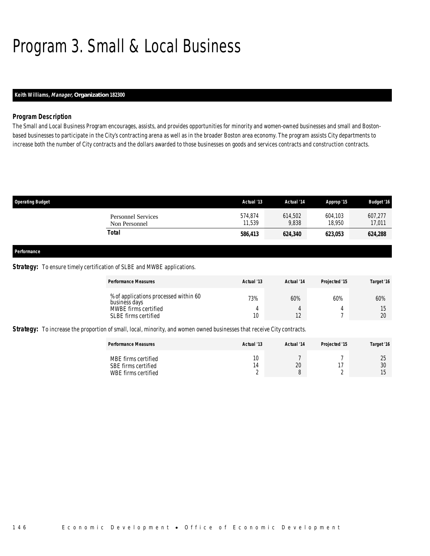## Program 3. Small & Local Business

### *Keith Williams, Manager, Organization 182300*

#### *Program Description*

The Small and Local Business Program encourages, assists, and provides opportunities for minority and women-owned businesses and small and Bostonbased businesses to participate in the City's contracting arena as well as in the broader Boston area economy. The program assists City departments to increase both the number of City contracts and the dollars awarded to those businesses on goods and services contracts and construction contracts.

| <b>Operating Budget</b>                    | Actual '13        | Actual '14       | Approp '15        | <b>Budget '16</b> |
|--------------------------------------------|-------------------|------------------|-------------------|-------------------|
| <b>Personnel Services</b><br>Non Personnel | 574,874<br>11.539 | 614,502<br>9,838 | 604,103<br>18.950 | 607,277<br>17,011 |
| Total                                      | 586,413           | 624,340          | 623,053           | 624,288           |
|                                            |                   |                  |                   |                   |
| Performance                                |                   |                  |                   |                   |

#### **Strategy:** To ensure timely certification of SLBE and MWBE applications.

| <b>Performance Measures</b>                                                                            | Actual '13 | Actual '14 | Projected '15 | Target '16 |
|--------------------------------------------------------------------------------------------------------|------------|------------|---------------|------------|
| % of applications processed within 60<br>business days<br>MWBE firms certified<br>SLBE firms certified | 73%<br>10  | 60%        | 60%           | 60%<br>20  |

*Strategy:* To increase the proportion of small, local, minority, and women owned businesses that receive City contracts.

| <b>Performance Measures</b>                                       | Actual '13 | Actual '14 | Projected '15 | Target '16 |
|-------------------------------------------------------------------|------------|------------|---------------|------------|
| MBE firms certified<br>SBE firms certified<br>WBE firms certified | 10<br>4    | 20         |               | ገፍ<br>30   |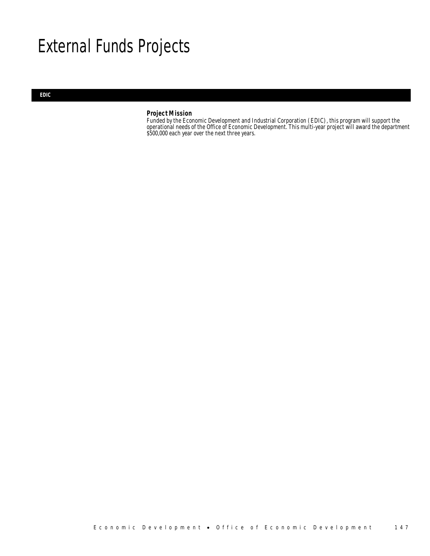## External Funds Projects

#### *EDIC*

### *Project Mission*

Funded by the Economic Development and Industrial Corporation (EDIC), this program will support the operational needs of the Office of Economic Development. This multi-year project will award the department \$500,000 each year over the next three years.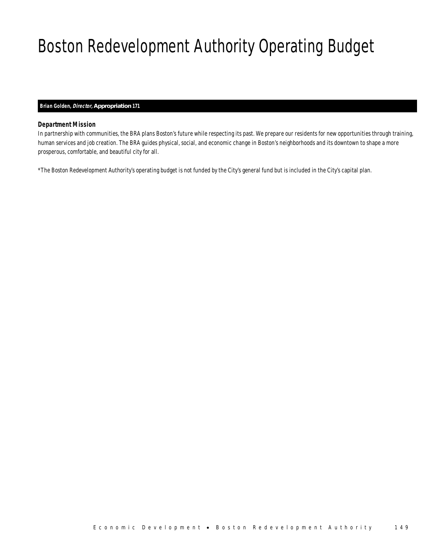# Boston Redevelopment Authority Operating Budget

### *Brian Golden, Director, Appropriation 171*

### *Department Mission*

In partnership with communities, the BRA plans Boston's future while respecting its past. We prepare our residents for new opportunities through training, human services and job creation. The BRA guides physical, social, and economic change in Boston's neighborhoods and its downtown to shape a more prosperous, comfortable, and beautiful city for all.

\*The Boston Redevelopment Authority's operating budget is not funded by the City's general fund but is included in the City's capital plan.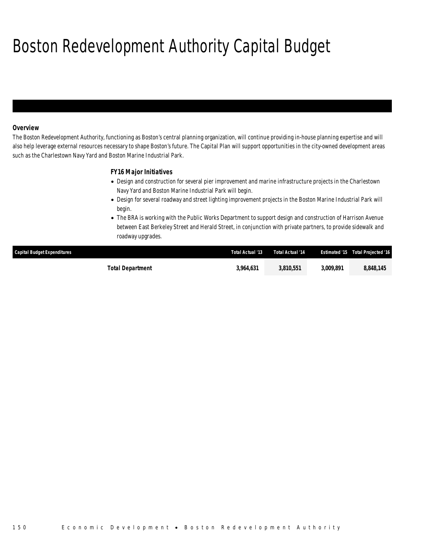# Boston Redevelopment Authority Capital Budget

### *Overview*

The Boston Redevelopment Authority, functioning as Boston's central planning organization, will continue providing in-house planning expertise and will also help leverage external resources necessary to shape Boston's future. The Capital Plan will support opportunities in the city-owned development areas such as the Charlestown Navy Yard and Boston Marine Industrial Park.

### *FY16 Major Initiatives*

- Design and construction for several pier improvement and marine infrastructure projects in the Charlestown Navy Yard and Boston Marine Industrial Park will begin.
- Design for several roadway and street lighting improvement projects in the Boston Marine Industrial Park will begin.
- The BRA is working with the Public Works Department to support design and construction of Harrison Avenue between East Berkeley Street and Herald Street, in conjunction with private partners, to provide sidewalk and roadway upgrades.

| <b>Capital Budget Expenditures</b> | Total Actual '13 | Total Actual '14 |           | <b>Estimated '15 Total Projected '16</b> |
|------------------------------------|------------------|------------------|-----------|------------------------------------------|
| Total Department                   | 3.964.631        | 3,810,551        | 3.009.891 | 8,848,145                                |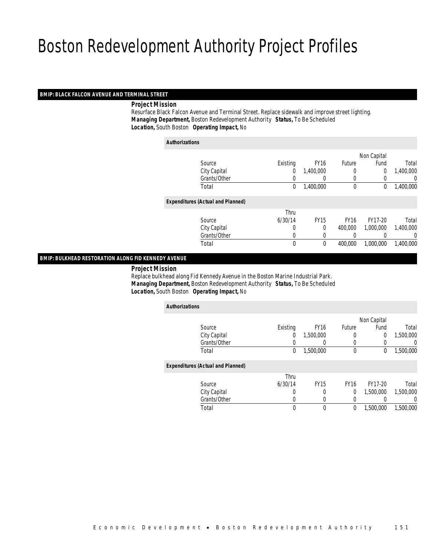#### *BMIP: BLACK FALCON AVENUE AND TERMINAL STREET*

*Project Mission*

 Resurface Black Falcon Avenue and Terminal Street. Replace sidewalk and improve street lighting. *Managing Department,* Boston Redevelopment Authority *Status,* To Be Scheduled*Location,* South Boston *Operating Impact,* No

| <b>Authorizations</b>                    |             |             |             |             |           |
|------------------------------------------|-------------|-------------|-------------|-------------|-----------|
|                                          |             |             |             | Non Capital |           |
| Source                                   | Existing    | <b>FY16</b> | Future      | Fund        | Total     |
| City Capital                             | 0           | 1,400,000   | 0           | $\theta$    | 1,400,000 |
| Grants/Other                             | 0           | 0           | 0           | 0           | 0         |
| Total                                    | 0           | 1,400,000   | $\theta$    | $\mathbf 0$ | 1,400,000 |
| <b>Expenditures (Actual and Planned)</b> |             |             |             |             |           |
|                                          | Thru        |             |             |             |           |
| Source                                   | 6/30/14     | <b>FY15</b> | <b>FY16</b> | FY17-20     | Total     |
| City Capital                             | 0           | 0           | 400,000     | 1.000.000   | 1,400,000 |
| Grants/Other                             | 0           | 0           | 0           |             | 0         |
| Total                                    | $\mathbf 0$ | 0           | 400,000     | 1,000,000   | 1,400,000 |

#### *BMIP: BULKHEAD RESTORATION ALONG FID KENNEDY AVENUE*

*Project Mission*

 Replace bulkhead along Fid Kennedy Avenue in the Boston Marine Industrial Park. *Managing Department,* Boston Redevelopment Authority *Status,* To Be Scheduled*Location,* South Boston *Operating Impact,* No

| <b>Authorizations</b>                    |             |             |               |             |           |
|------------------------------------------|-------------|-------------|---------------|-------------|-----------|
|                                          |             |             |               | Non Capital |           |
| Source                                   | Existing    | <b>FY16</b> | <b>Future</b> | Fund        | Total     |
| City Capital                             | 0           | 1,500,000   | 0             | 0           | 1,500,000 |
| Grants/Other                             |             | $\left($    | 0             |             | 0         |
| Total                                    | 0           | 1,500,000   | 0             | 0           | 1,500,000 |
| <b>Expenditures (Actual and Planned)</b> |             |             |               |             |           |
|                                          | Thru        |             |               |             |           |
| Source                                   | 6/30/14     | <b>FY15</b> | <b>FY16</b>   | FY17-20     | Total     |
| City Capital                             | 0           | 0           | 0             | 1.500.000   | 1.500.000 |
| Grants/Other                             | 0           | $\left($    | 0             |             | $\left($  |
| Total                                    | $\mathbf 0$ | $\theta$    | 0             | 1,500,000   | 1.500.000 |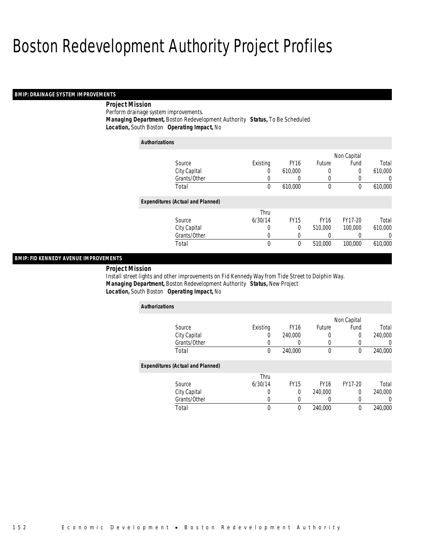#### *BMIP: DRAINAGE SYSTEM IMPROVEMENTS*

### *Project Mission*

Perform drainage system improvements. *Managing Department,* Boston Redevelopment Authority *Status,* To Be Scheduled*Location,* South Boston *Operating Impact,* No

| <b>Authorizations</b> |                                          |          |                  |             |             |                |
|-----------------------|------------------------------------------|----------|------------------|-------------|-------------|----------------|
|                       |                                          |          |                  |             | Non Capital |                |
|                       | Source                                   | Existing | FY <sub>16</sub> | Future      | Fund        | Total          |
|                       | City Capital                             | 0        | 610.000          | 0           | 0           | 610,000        |
|                       | Grants/Other                             | 0        | 0                | 0           | 0           | $\Omega$       |
|                       | Total                                    | 0        | 610,000          | 0           | 0           | 610,000        |
|                       | <b>Expenditures (Actual and Planned)</b> |          |                  |             |             |                |
|                       |                                          | Thru     |                  |             |             |                |
|                       | Source                                   | 6/30/14  | <b>FY15</b>      | <b>FY16</b> | FY17-20     | Total          |
|                       | City Capital                             | 0        | 0                | 510,000     | 100,000     | 610,000        |
|                       | Grants/Other                             | 0        | 0                | 0           | 0           | $\overline{0}$ |
|                       | Total                                    | 0        | 0                | 510,000     | 100,000     | 610,000        |

#### *BMIP: FID KENNEDY AVENUE IMPROVEMENTS*

*Project Mission* 

Install street lights and other improvements on Fid Kennedy Way from Tide Street to Dolphin Way. *Managing Department,* Boston Redevelopment Authority *Status,* New Project*Location,* South Boston *Operating Impact,* No

| <b>Authorizations</b>                    |          |             |             |             |         |
|------------------------------------------|----------|-------------|-------------|-------------|---------|
|                                          |          |             |             | Non Capital |         |
| Source                                   | Existing | <b>FY16</b> | Future      | Fund        | Total   |
| City Capital                             | 0        | 240,000     |             | $\Omega$    | 240,000 |
| Grants/Other                             |          | 0           |             |             | 0       |
| Total                                    | 0        | 240,000     | $\mathbf 0$ | $\theta$    | 240,000 |
| <b>Expenditures (Actual and Planned)</b> |          |             |             |             |         |
|                                          | Thru     |             |             |             |         |
| Source                                   | 6/30/14  | <b>FY15</b> | <b>FY16</b> | FY17-20     | Total   |
| City Capital                             | 0        | 0           | 240,000     | 0           | 240,000 |
| Grants/Other                             | 0        |             |             | O           | 0       |
| Total                                    | 0        | 0           | 240,000     | 0           | 240,000 |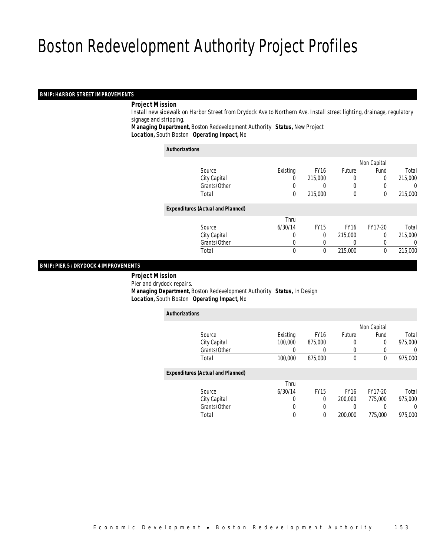### *BMIP: HARBOR STREET IMPROVEMENTS*

#### *Project Mission*

 Install new sidewalk on Harbor Street from Drydock Ave to Northern Ave. Install street lighting, drainage, regulatory signage and stripping.

*Managing Department,* Boston Redevelopment Authority *Status,* New Project*Location,* South Boston *Operating Impact,* No

#### *Authorizations*

|                                          |          |              |             | Non Capital |         |
|------------------------------------------|----------|--------------|-------------|-------------|---------|
| Source                                   | Existing | <b>FY16</b>  | Future      | Fund        | Total   |
| City Capital                             | 0        | 215,000      | 0           | 0           | 215,000 |
| Grants/Other                             |          |              |             |             | 0       |
| Total                                    | 0        | 215,000      | $\mathbf 0$ | 0           | 215,000 |
| <b>Expenditures (Actual and Planned)</b> |          |              |             |             |         |
|                                          | Thru     |              |             |             |         |
| Source                                   | 6/30/14  | <b>FY15</b>  | <b>FY16</b> | FY17-20     | Total   |
| City Capital                             | 0        | $\theta$     | 215,000     | $\Omega$    | 215,000 |
| Grants/Other                             | 0        |              |             |             | 0       |
| Total                                    | 0        | $\mathbf{0}$ | 215,000     | 0           | 215,000 |
|                                          |          |              |             |             |         |

### *BMIP: PIER 5 / DRYDOCK 4 IMPROVEMENTS*

 *Project Mission* Pier and drydock repairs. *Managing Department,* Boston Redevelopment Authority *Status,* In Design*Location,* South Boston *Operating Impact,* No

| <b>Authorizations</b> |                                          |          |             |             |             |         |
|-----------------------|------------------------------------------|----------|-------------|-------------|-------------|---------|
|                       |                                          |          |             |             | Non Capital |         |
|                       | Source                                   | Existing | <b>FY16</b> | Future      | Fund        | Total   |
|                       | City Capital                             | 100,000  | 875,000     |             | 0           | 975,000 |
|                       | Grants/Other                             | 0        |             | $\Omega$    |             | 0       |
|                       | Total                                    | 100,000  | 875,000     | 0           | $\theta$    | 975,000 |
|                       | <b>Expenditures (Actual and Planned)</b> |          |             |             |             |         |
|                       |                                          | Thru     |             |             |             |         |
|                       | Source                                   | 6/30/14  | <b>FY15</b> | <b>FY16</b> | FY17-20     | Total   |
|                       | City Capital                             | 0        | $\Omega$    | 200,000     | 775,000     | 975,000 |
|                       | Grants/Other                             | 0        |             |             |             | 0       |
|                       | Total                                    | 0        | $\theta$    | 200,000     | 775,000     | 975,000 |
|                       |                                          |          |             |             |             |         |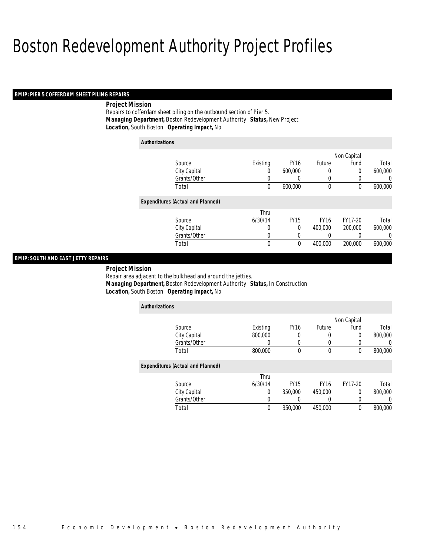#### *BMIP: PIER 5 COFFERDAM SHEET PILING REPAIRS*

#### *Project Mission*

Repairs to cofferdam sheet piling on the outbound section of Pier 5. *Managing Department,* Boston Redevelopment Authority *Status,* New Project*Location,* South Boston *Operating Impact,* No

| <b>Authorizations</b> |                                          |             |                  |             |             |         |
|-----------------------|------------------------------------------|-------------|------------------|-------------|-------------|---------|
|                       |                                          |             |                  |             | Non Capital |         |
|                       | Source                                   | Existing    | FY <sub>16</sub> | Future      | Fund        | Total   |
|                       | City Capital                             | 0           | 600,000          | 0           | $\mathbf 0$ | 600,000 |
|                       | Grants/Other                             | 0           | 0                | 0           | 0           | 0       |
|                       | Total                                    | 0           | 600,000          | $\mathbf 0$ | 0           | 600,000 |
|                       | <b>Expenditures (Actual and Planned)</b> |             |                  |             |             |         |
|                       |                                          | Thru        |                  |             |             |         |
|                       | Source                                   | 6/30/14     | <b>FY15</b>      | <b>FY16</b> | FY17-20     | Total   |
|                       | City Capital                             | 0           | 0                | 400,000     | 200,000     | 600,000 |
|                       | Grants/Other                             | 0           | 0                | 0           |             | 0       |
|                       | Total                                    | $\mathbf 0$ | $\theta$         | 400,000     | 200,000     | 600,000 |

### *BMIP: SOUTH AND EAST JETTY REPAIRS*

 *Project Mission* Repair area adjacent to the bulkhead and around the jetties. *Managing Department,* Boston Redevelopment Authority *Status,* In Construction*Location,* South Boston *Operating Impact,* No

| <b>Authorizations</b>                    |          |             |             |             |         |
|------------------------------------------|----------|-------------|-------------|-------------|---------|
|                                          |          |             |             | Non Capital |         |
| Source                                   | Existing | <b>FY16</b> | Future      | Fund        | Total   |
| City Capital                             | 800,000  | 0           | 0           | 0           | 800,000 |
| Grants/Other                             |          | 0           | 0           | 0           |         |
| Total                                    | 800,000  | 0           | 0           | 0           | 800,000 |
| <b>Expenditures (Actual and Planned)</b> |          |             |             |             |         |
|                                          | Thru     |             |             |             |         |
| Source                                   | 6/30/14  | <b>FY15</b> | <b>FY16</b> | FY17-20     | Total   |
| City Capital                             | 0        | 350,000     | 450,000     | 0           | 800,000 |
| Grants/Other                             |          | O           | 0           | 0           |         |
| Total                                    | $\theta$ | 350,000     | 450,000     | 0           | 800,000 |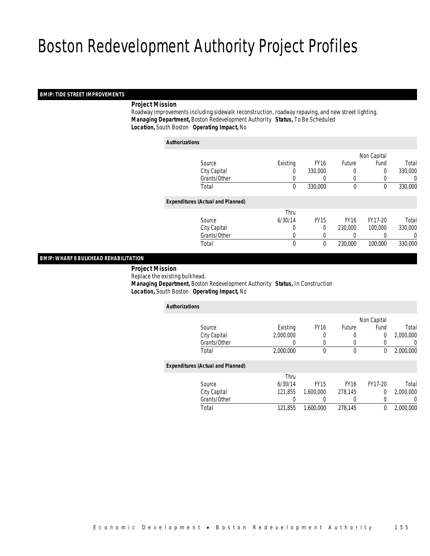#### *BMIP: TIDE STREET IMPROVEMENTS*

#### *Project Mission*

 Roadway improvements including sidewalk reconstruction, roadway repaving, and new street lighting. *Managing Department,* Boston Redevelopment Authority *Status,* To Be Scheduled*Location,* South Boston *Operating Impact,* No

| <b>Authorizations</b> |                                          |          |             |             |             |         |
|-----------------------|------------------------------------------|----------|-------------|-------------|-------------|---------|
|                       |                                          |          |             |             | Non Capital |         |
|                       | Source                                   | Existing | <b>FY16</b> | Future      | Fund        | Total   |
|                       | City Capital                             | 0        | 330,000     | 0           | 0           | 330,000 |
|                       | Grants/Other                             | 0        |             | $\left($    |             | 0       |
|                       | Total                                    | 0        | 330,000     | $\mathbf 0$ | 0           | 330,000 |
|                       | <b>Expenditures (Actual and Planned)</b> |          |             |             |             |         |
|                       |                                          | Thru     |             |             |             |         |
|                       | Source                                   | 6/30/14  | <b>FY15</b> | <b>FY16</b> | FY17-20     | Total   |
|                       | City Capital                             | 0        | $\theta$    | 230,000     | 100,000     | 330,000 |
|                       | Grants/Other                             | 0        |             |             |             | 0       |
|                       | Total                                    | 0        | $\theta$    | 230,000     | 100,000     | 330,000 |
|                       |                                          |          |             |             |             |         |

#### *BMIP: WHARF 8 BULKHEAD REHABILITATION*

*Project Mission*

 Replace the existing bulkhead. *Managing Department,* Boston Redevelopment Authority *Status,* In Construction*Location,* South Boston *Operating Impact,* No

| <b>Authorizations</b>                    |           |             |             |             |           |
|------------------------------------------|-----------|-------------|-------------|-------------|-----------|
|                                          |           |             |             | Non Capital |           |
| Source                                   | Existing  | <b>FY16</b> | Future      | Fund        | Total     |
| City Capital                             | 2.000.000 | 0           | 0           | 0           | 2.000.000 |
| Grants/Other                             | 0         | 0           | 0           |             | 0         |
| Total                                    | 2,000,000 | $\theta$    | 0           | 0           | 2,000,000 |
| <b>Expenditures (Actual and Planned)</b> |           |             |             |             |           |
|                                          | Thru      |             |             |             |           |
| Source                                   | 6/30/14   | <b>FY15</b> | <b>FY16</b> | FY17-20     | Total     |
| City Capital                             | 121.855   | 1.600.000   | 278,145     | 0           | 2.000.000 |
| Grants/Other                             | 0         |             | 0           | 0           | 0         |
| Total                                    | 121.855   | 1,600,000   | 278,145     | 0           | 2.000.000 |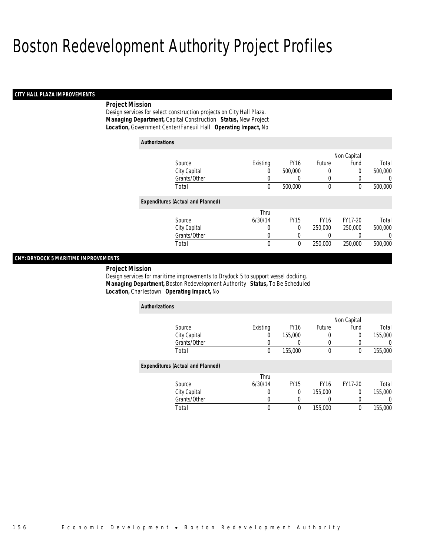#### *CITY HALL PLAZA IMPROVEMENTS*

#### *Project Mission*

Design services for select construction projects on City Hall Plaza. *Managing Department,* Capital Construction *Status,* New Project*Location,* Government Center/Faneuil Hall *Operating Impact,* No

| <b>Authorizations</b>                    |             |             |             |             |         |
|------------------------------------------|-------------|-------------|-------------|-------------|---------|
|                                          |             |             |             | Non Capital |         |
| Source                                   | Existing    | <b>FY16</b> | Future      | Fund        | Total   |
| City Capital                             | 0           | 500,000     | 0           | 0           | 500,000 |
| Grants/Other                             |             | 0           | 0           | 0           | 0       |
| Total                                    | 0           | 500,000     | 0           | $\theta$    | 500,000 |
| <b>Expenditures (Actual and Planned)</b> |             |             |             |             |         |
|                                          | Thru        |             |             |             |         |
| Source                                   | 6/30/14     | <b>FY15</b> | <b>FY16</b> | FY17-20     | Total   |
| City Capital                             | 0           | 0           | 250,000     | 250,000     | 500,000 |
| Grants/Other                             | 0           | 0           | 0           | 0           | 0       |
| Total                                    | $\mathbf 0$ | 0           | 250,000     | 250,000     | 500,000 |

### *CNY: DRYDOCK 5 MARITIME IMPROVEMENTS*

*Project Mission* 

Design services for maritime improvements to Drydock 5 to support vessel docking. *Managing Department,* Boston Redevelopment Authority *Status,* To Be Scheduled*Location,* Charlestown *Operating Impact,* No

| <b>Authorizations</b>                    |          |             |             |             |         |
|------------------------------------------|----------|-------------|-------------|-------------|---------|
|                                          |          |             |             | Non Capital |         |
| Source                                   | Existing | <b>FY16</b> | Future      | Fund        | Total   |
| City Capital                             | 0        | 155,000     | 0           | 0           | 155,000 |
| Grants/Other                             |          |             | 0           | 0           | 0       |
| Total                                    | 0        | 155,000     | $\mathbf 0$ | 0           | 155,000 |
| <b>Expenditures (Actual and Planned)</b> |          |             |             |             |         |
|                                          | Thru     |             |             |             |         |
| Source                                   | 6/30/14  | <b>FY15</b> | <b>FY16</b> | FY17-20     | Total   |
| City Capital                             | 0        | $\Omega$    | 155,000     | 0           | 155,000 |
| Grants/Other                             | 0        | 0           | 0           | 0           | 0       |
| Total                                    | 0        | 0           | 155,000     | 0           | 155,000 |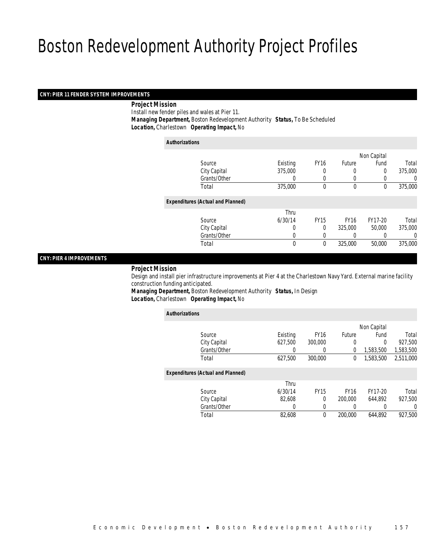#### *CNY: PIER 11 FENDER SYSTEM IMPROVEMENTS*

#### *Project Mission*

Install new fender piles and wales at Pier 11.

*Managing Department,* Boston Redevelopment Authority *Status,* To Be Scheduled

*Location,* Charlestown *Operating Impact,* No

| <b>Authorizations</b>                    |          |             |             |                  |         |
|------------------------------------------|----------|-------------|-------------|------------------|---------|
|                                          |          |             |             | Non Capital      |         |
| Source                                   | Existing | <b>FY16</b> | Future      | Fund             | Total   |
| City Capital                             | 375,000  |             | 0           | 0                | 375,000 |
| Grants/Other                             | 0        | 0           | $\left($    | $\left( \right)$ | 0       |
| Total                                    | 375,000  | $\theta$    | $\mathbf 0$ | 0                | 375,000 |
| <b>Expenditures (Actual and Planned)</b> |          |             |             |                  |         |
|                                          | Thru     |             |             |                  |         |
| Source                                   | 6/30/14  | <b>FY15</b> | <b>FY16</b> | FY17-20          | Total   |
| City Capital                             | 0        | $\Omega$    | 325,000     | 50,000           | 375,000 |
| Grants/Other                             | 0        |             |             |                  | 0       |
| Total                                    | 0        | 0           | 325,000     | 50,000           | 375,000 |

### *CNY: PIER 4 IMPROVEMENTS*

#### *Project Mission*

 Design and install pier infrastructure improvements at Pier 4 at the Charlestown Navy Yard. External marine facility construction funding anticipated.

*Managing Department,* Boston Redevelopment Authority *Status,* In Design*Location,* Charlestown *Operating Impact,* No

| <b>Authorizations</b>                    |              |          |             |             |             |           |
|------------------------------------------|--------------|----------|-------------|-------------|-------------|-----------|
|                                          |              |          |             |             | Non Capital |           |
| Source                                   |              | Existing | <b>FY16</b> | Future      | Fund        | Total     |
| City Capital                             |              | 627,500  | 300,000     | 0           | 0           | 927.500   |
|                                          | Grants/Other | 0        | 0           | 0           | 1,583,500   | 1,583,500 |
| Total                                    |              | 627,500  | 300,000     | 0           | 1,583,500   | 2,511,000 |
| <b>Expenditures (Actual and Planned)</b> |              |          |             |             |             |           |
|                                          |              | Thru     |             |             |             |           |
| Source                                   |              | 6/30/14  | <b>FY15</b> | <b>FY16</b> | FY17-20     | Total     |
| City Capital                             |              | 82.608   | 0           | 200,000     | 644.892     | 927.500   |
|                                          | Grants/Other | 0        | 0           | 0           | 0           | 0         |
| Total                                    |              | 82,608   | $\theta$    | 200,000     | 644.892     | 927,500   |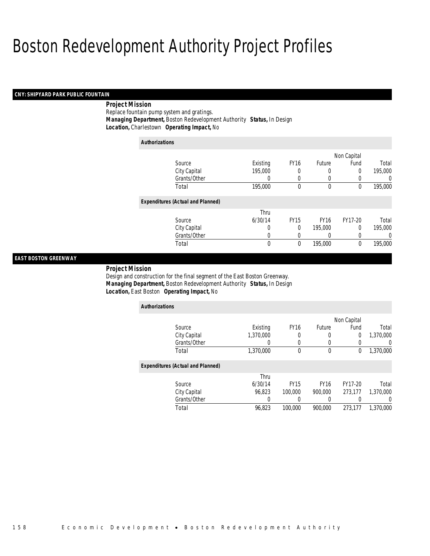#### *CNY: SHIPYARD PARK PUBLIC FOUNTAIN*

### *Project Mission*

Replace fountain pump system and gratings. *Managing Department,* Boston Redevelopment Authority *Status,* In Design*Location,* Charlestown *Operating Impact,* No

| <b>Authorizations</b> |                                          |          |             |              |             |                |
|-----------------------|------------------------------------------|----------|-------------|--------------|-------------|----------------|
|                       |                                          |          |             |              | Non Capital |                |
|                       | Source                                   | Existing | <b>FY16</b> | Future       | Fund        | Total          |
|                       | City Capital                             | 195,000  | 0           | 0            | 0           | 195,000        |
|                       | Grants/Other                             | 0        | 0           | 0            | 0           | $\overline{0}$ |
|                       | Total                                    | 195,000  | 0           | $\mathbf{0}$ | $\theta$    | 195,000        |
|                       | <b>Expenditures (Actual and Planned)</b> |          |             |              |             |                |
|                       |                                          | Thru     |             |              |             |                |
|                       | Source                                   | 6/30/14  | <b>FY15</b> | <b>FY16</b>  | FY17-20     | Total          |
|                       | City Capital                             | $\left($ | 0           | 195,000      | 0           | 195,000        |
|                       | Grants/Other                             | 0        | 0           | 0            | 0           | 0              |
|                       | Total                                    | 0        | 0           | 195,000      | $\theta$    | 195,000        |

### *EAST BOSTON GREENWAY*

*Project Mission* 

Design and construction for the final segment of the East Boston Greenway. *Managing Department,* Boston Redevelopment Authority *Status,* In Design*Location,* East Boston *Operating Impact,* No

| <b>Authorizations</b>                    |           |             |             |             |           |
|------------------------------------------|-----------|-------------|-------------|-------------|-----------|
|                                          |           |             |             | Non Capital |           |
| Source                                   | Existing  | <b>FY16</b> | Future      | Fund        | Total     |
| City Capital                             | 1.370.000 |             | 0           | 0           | 1,370,000 |
| Grants/Other                             | 0         |             |             | 0           |           |
| Total                                    | 1,370,000 | $\theta$    | 0           | 0           | 1,370,000 |
| <b>Expenditures (Actual and Planned)</b> |           |             |             |             |           |
|                                          | Thru      |             |             |             |           |
| Source                                   | 6/30/14   | <b>FY15</b> | <b>FY16</b> | FY17-20     | Total     |
| City Capital                             | 96.823    | 100,000     | 900.000     | 273.177     | 1,370,000 |
| Grants/Other                             | 0         |             |             | 0           |           |
| Total                                    | 96.823    | 100,000     | 900.000     | 273.177     | 1.370.000 |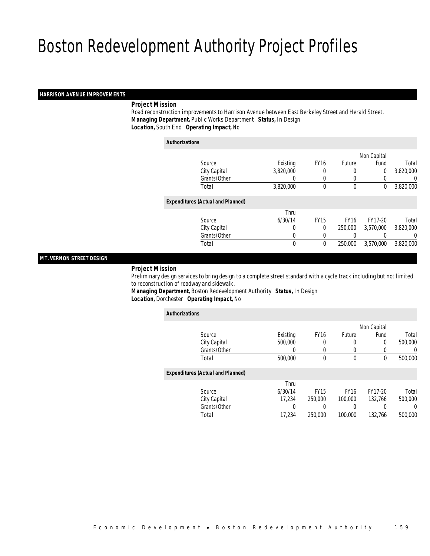#### *HARRISON AVENUE IMPROVEMENTS*

#### *Project Mission*

 Road reconstruction improvements to Harrison Avenue between East Berkeley Street and Herald Street. *Managing Department,* Public Works Department *Status,* In Design*Location,* South End *Operating Impact,* No

*Authorizations*

|                                          |              |             |               | Non Capital    |           |
|------------------------------------------|--------------|-------------|---------------|----------------|-----------|
| Source                                   | Existing     | <b>FY16</b> | <b>Future</b> | Fund           | Total     |
| City Capital                             | 3,820,000    |             | 0             | $\overline{0}$ | 3,820,000 |
| Grants/Other                             | 0            | 0           | $\left($      |                | 0         |
| Total                                    | 3,820,000    | $\theta$    | 0             | 0              | 3,820,000 |
| <b>Expenditures (Actual and Planned)</b> |              |             |               |                |           |
|                                          |              |             |               |                |           |
|                                          | Thru         |             |               |                |           |
| Source                                   | 6/30/14      | <b>FY15</b> | <b>FY16</b>   | FY17-20        | Total     |
| City Capital                             | 0            | $\Omega$    | 250,000       | 3.570.000      | 3,820,000 |
| Grants/Other                             |              |             |               |                | 0         |
| Total                                    | $\mathbf{0}$ | 0           | 250,000       | 3,570,000      | 3,820,000 |
|                                          |              |             |               |                |           |

### *MT. VERNON STREET DESIGN*

#### *Project Mission*

 Preliminary design services to bring design to a complete street standard with a cycle track including but not limited to reconstruction of roadway and sidewalk.

*Managing Department,* Boston Redevelopment Authority *Status,* In Design*Location,* Dorchester *Operating Impact,* No

| <b>Authorizations</b>                    |              |          |             |             |                  |          |
|------------------------------------------|--------------|----------|-------------|-------------|------------------|----------|
|                                          |              |          |             |             | Non Capital      |          |
| Source                                   |              | Existing | <b>FY16</b> | Future      | Fund             | Total    |
|                                          | City Capital | 500,000  | 0           | 0           | 0                | 500,000  |
|                                          | Grants/Other | 0        | 0           | 0           |                  | 0        |
| Total                                    |              | 500,000  | $\Omega$    | $\mathbf 0$ | $^{0}$           | 500,000  |
| <b>Expenditures (Actual and Planned)</b> |              |          |             |             |                  |          |
|                                          |              | Thru     |             |             |                  |          |
| Source                                   |              | 6/30/14  | <b>FY15</b> | <b>FY16</b> | FY17-20          | Total    |
|                                          | City Capital | 17.234   | 250,000     | 100,000     | 132.766          | 500,000  |
|                                          | Grants/Other | 0        |             | 0           | $\left( \right)$ | $\left($ |
| Total                                    |              | 17,234   | 250,000     | 100,000     | 132.766          | 500,000  |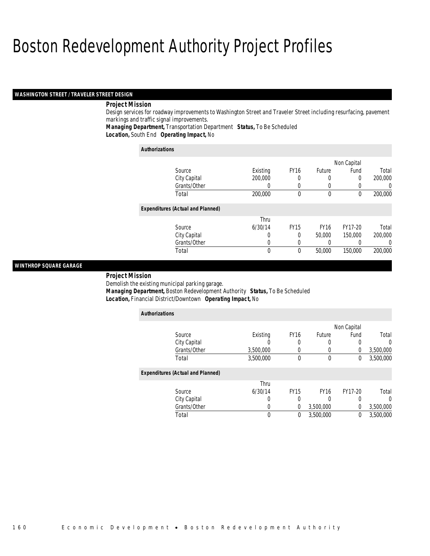#### *WASHINGTON STREET / TRAVELER STREET DESIGN*

#### *Project Mission*

Design services for roadway improvements to Washington Street and Traveler Street including resurfacing, pavement markings and traffic signal improvements.

*Managing Department,* Transportation Department *Status,* To Be Scheduled*Location,* South End *Operating Impact,* No

| <b>Authorizations</b>                    |          |             |             |             |         |
|------------------------------------------|----------|-------------|-------------|-------------|---------|
|                                          |          |             |             | Non Capital |         |
| Source                                   | Existing | <b>FY16</b> | Future      | Fund        | Total   |
| City Capital                             | 200,000  | 0           | 0           | $\Omega$    | 200,000 |
| Grants/Other                             |          | 0           | 0           | 0           |         |
| Total                                    | 200,000  | $\theta$    | $\mathbf 0$ | 0           | 200,000 |
| <b>Expenditures (Actual and Planned)</b> |          |             |             |             |         |
|                                          | Thru     |             |             |             |         |
| Source                                   | 6/30/14  | <b>FY15</b> | <b>FY16</b> | FY17-20     | Total   |
| City Capital                             | 0        | $\Omega$    | 50,000      | 150,000     | 200,000 |
| Grants/Other                             | 0        | 0           | 0           | 0           |         |
| Total                                    | $\Omega$ | $\Omega$    | 50,000      | 150,000     | 200,000 |

#### *WINTHROP SQUARE GARAGE*

#### *Project Mission*

Demolish the existing municipal parking garage.

*Managing Department,* Boston Redevelopment Authority *Status,* To Be Scheduled

*Location,* Financial District/Downtown *Operating Impact,* No

| <b>Authorizations</b>                    |           |                  |             |             |           |
|------------------------------------------|-----------|------------------|-------------|-------------|-----------|
|                                          |           |                  |             | Non Capital |           |
| Source                                   | Existing  | FY <sub>16</sub> | Future      | Fund        | Total     |
| City Capital                             |           | 0                |             |             | 0         |
| Grants/Other                             | 3,500,000 | 0                |             | 0           | 3,500,000 |
| Total                                    | 3,500,000 | $\theta$         | 0           | 0           | 3,500,000 |
| <b>Expenditures (Actual and Planned)</b> |           |                  |             |             |           |
|                                          | Thru      |                  |             |             |           |
| Source                                   | 6/30/14   | <b>FY15</b>      | <b>FY16</b> | FY17-20     | Total     |
| City Capital                             | 0         | 0                |             | 0           | 0         |
| Grants/Other                             | U         | $\theta$         | 3,500,000   | $\theta$    | 3,500,000 |
| Total                                    | 0         | 0                | 3,500,000   | 0           | 3,500,000 |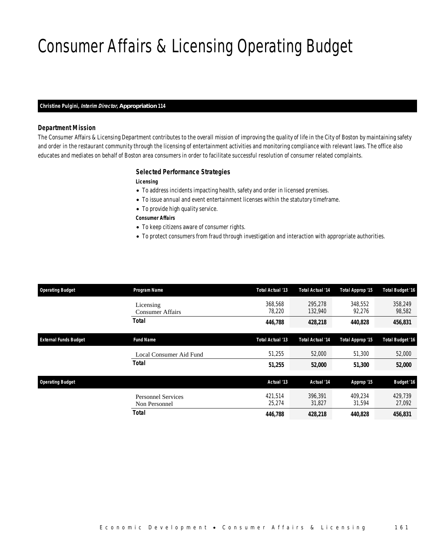## Consumer Affairs & Licensing Operating Budget

#### *Christine Pulgini, Interim Director, Appropriation 114*

### *Department Mission*

The Consumer Affairs & Licensing Department contributes to the overall mission of improving the quality of life in the City of Boston by maintaining safety and order in the restaurant community through the licensing of entertainment activities and monitoring compliance with relevant laws. The office also educates and mediates on behalf of Boston area consumers in order to facilitate successful resolution of consumer related complaints.

#### *Selected Performance Strategies*

*Licensing* 

- To address incidents impacting health, safety and order in licensed premises.
- To issue annual and event entertainment licenses within the statutory timeframe.
- To provide high quality service.

*Consumer Affairs* 

- To keep citizens aware of consumer rights.
- To protect consumers from fraud through investigation and interaction with appropriate authorities.

| <b>Operating Budget</b>      | Program Name                               | Total Actual '13  | <b>Total Actual '14</b> | Total Approp '15  | <b>Total Budget '16</b> |
|------------------------------|--------------------------------------------|-------------------|-------------------------|-------------------|-------------------------|
|                              | Licensing<br><b>Consumer Affairs</b>       | 368.568<br>78.220 | 295,278<br>132,940      | 348,552<br>92,276 | 358,249<br>98,582       |
|                              | <b>Total</b>                               | 446,788           | 428,218                 | 440,828           | 456,831                 |
| <b>External Funds Budget</b> | <b>Fund Name</b>                           | Total Actual '13  | <b>Total Actual '14</b> | Total Approp '15  | <b>Total Budget '16</b> |
|                              | Local Consumer Aid Fund                    | 51,255            | 52,000                  | 51,300            | 52,000                  |
|                              | <b>Total</b>                               | 51,255            | 52,000                  | 51,300            | 52,000                  |
| <b>Operating Budget</b>      |                                            | Actual '13        | Actual '14              | Approp '15        | <b>Budget '16</b>       |
|                              | <b>Personnel Services</b><br>Non Personnel | 421.514<br>25,274 | 396.391<br>31,827       | 409.234<br>31,594 | 429.739<br>27,092       |
|                              | Total                                      | 446,788           | 428,218                 | 440,828           | 456,831                 |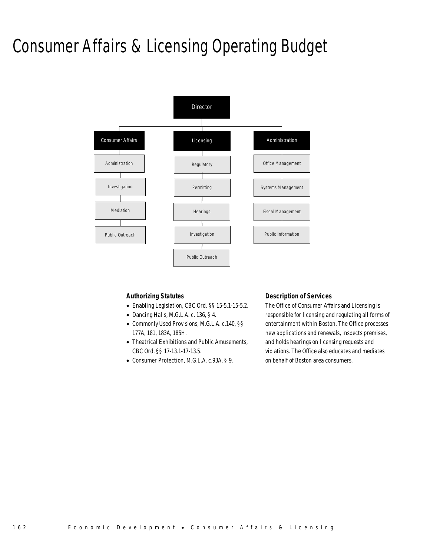## Consumer Affairs & Licensing Operating Budget



#### *Authorizing Statutes*

- Enabling Legislation, CBC Ord. §§ 15-5.1-15-5.2.
- Dancing Halls, M.G.L.A. c. 136, § 4.
- Commonly Used Provisions, M.G.L.A. c.140, §§ 177A, 181, 183A, 185H.
- Theatrical Exhibitions and Public Amusements, CBC Ord. §§ 17-13.1-17-13.5.
- Consumer Protection, M.G.L.A. c.93A, § 9.

#### *Description of Services*

The Office of Consumer Affairs and Licensing is responsible for licensing and regulating all forms of entertainment within Boston. The Office processes new applications and renewals, inspects premises, and holds hearings on licensing requests and violations. The Office also educates and mediates on behalf of Boston area consumers.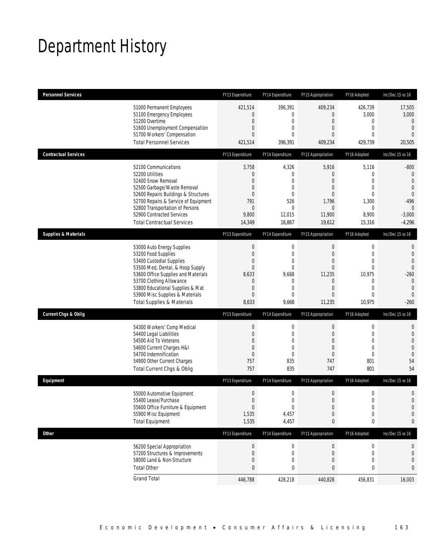## Department History

| <b>Personnel Services</b>       |                                                                                                                                                                                                                                                                                                      | FY13 Expenditure                                                                                                           | FY14 Expenditure                                                              | FY15 Appropriation                                                                                | FY16 Adopted                                                                                                                 | Inc/Dec 15 vs 16                                                                                                            |
|---------------------------------|------------------------------------------------------------------------------------------------------------------------------------------------------------------------------------------------------------------------------------------------------------------------------------------------------|----------------------------------------------------------------------------------------------------------------------------|-------------------------------------------------------------------------------|---------------------------------------------------------------------------------------------------|------------------------------------------------------------------------------------------------------------------------------|-----------------------------------------------------------------------------------------------------------------------------|
|                                 | 51000 Permanent Employees<br>51100 Emergency Employees<br>51200 Overtime<br>51600 Unemployment Compensation<br>51700 Workers' Compensation<br><b>Total Personnel Services</b>                                                                                                                        | 421,514<br>$\overline{0}$<br>$\boldsymbol{0}$<br>0<br>$\overline{0}$<br>421,514                                            | 396,391<br>0<br>0<br>0<br>$\Omega$<br>396,391                                 | 409,234<br>0<br>$\mathbf 0$<br>0<br>0<br>409,234                                                  | 426,739<br>3,000<br>0<br>$\mathbf{0}$<br>$\mathbf{0}$<br>429,739                                                             | 17,505<br>3,000<br>$\mathbf 0$<br>$\mathbf{0}$<br>$\overline{0}$<br>20,505                                                  |
| <b>Contractual Services</b>     |                                                                                                                                                                                                                                                                                                      | FY13 Expenditure                                                                                                           | FY14 Expenditure                                                              | FY15 Appropriation                                                                                | FY16 Adopted                                                                                                                 | Inc/Dec 15 vs 16                                                                                                            |
|                                 | 52100 Communications<br>52200 Utilities<br>52400 Snow Removal<br>52500 Garbage/Waste Removal<br>52600 Repairs Buildings & Structures<br>52700 Repairs & Service of Equipment<br>52800 Transportation of Persons<br>52900 Contracted Services<br><b>Total Contractual Services</b>                    | 3,758<br>$\theta$<br>$\overline{0}$<br>$\mathbf 0$<br>$\overline{0}$<br>791<br>$\theta$<br>9,800<br>14,349                 | 4,326<br>0<br>$\Omega$<br>$\overline{0}$<br>0<br>526<br>0<br>12,015<br>16,867 | 5,916<br>0<br>0<br>0<br>0<br>1,796<br>$\boldsymbol{0}$<br>11,900<br>19,612                        | 5,116<br>$\mathbf 0$<br>$\mathbf{0}$<br>$\mathbf 0$<br>$\mathbf{0}$<br>1,300<br>0<br>8,900<br>15,316                         | $-800$<br>$\mathbf 0$<br>$\overline{0}$<br>$\overline{0}$<br>$\theta$<br>$-496$<br>$\theta$<br>$-3,000$<br>$-4,296$         |
| <b>Supplies &amp; Materials</b> |                                                                                                                                                                                                                                                                                                      | FY13 Expenditure                                                                                                           | FY14 Expenditure                                                              | FY15 Appropriation                                                                                | FY16 Adopted                                                                                                                 | Inc/Dec 15 vs 16                                                                                                            |
|                                 | 53000 Auto Energy Supplies<br>53200 Food Supplies<br>53400 Custodial Supplies<br>53500 Med, Dental, & Hosp Supply<br>53600 Office Supplies and Materials<br>53700 Clothing Allowance<br>53800 Educational Supplies & Mat<br>53900 Misc Supplies & Materials<br><b>Total Supplies &amp; Materials</b> | $\boldsymbol{0}$<br>$\boldsymbol{0}$<br>0<br>$\boldsymbol{0}$<br>8,633<br>0<br>$\boldsymbol{0}$<br>$\overline{0}$<br>8,633 | 0<br>0<br>0<br>0<br>9,668<br>0<br>$\mathbf{0}$<br>$\Omega$<br>9,668           | $\mathbf 0$<br>$\mathbf 0$<br>0<br>$\overline{0}$<br>11,235<br>0<br>$\overline{0}$<br>0<br>11,235 | $\boldsymbol{0}$<br>$\mathbf 0$<br>$\mathbf{0}$<br>$\overline{0}$<br>10,975<br>0<br>$\overline{0}$<br>$\mathbf{0}$<br>10,975 | $\mathbf 0$<br>$\mathbf 0$<br>$\overline{0}$<br>$\Omega$<br>$-260$<br>$\mathbf 0$<br>$\mathbf{0}$<br>$\mathbf{0}$<br>$-260$ |
| <b>Current Chgs &amp; Oblig</b> |                                                                                                                                                                                                                                                                                                      | FY13 Expenditure                                                                                                           | FY14 Expenditure                                                              | FY15 Appropriation                                                                                | FY16 Adopted                                                                                                                 | Inc/Dec 15 vs 16                                                                                                            |
|                                 | 54300 Workers' Comp Medical<br>54400 Legal Liabilities<br>54500 Aid To Veterans<br>54600 Current Charges H&I<br>54700 Indemnification<br>54900 Other Current Charges<br>Total Current Chgs & Oblig                                                                                                   | $\boldsymbol{0}$<br>$\boldsymbol{0}$<br>0<br>$\mathbf 0$<br>$\mathbf 0$<br>757<br>757                                      | 0<br>0<br>0<br>$\overline{0}$<br>$\overline{0}$<br>835<br>835                 | $\mathbf 0$<br>$\mathbf 0$<br>0<br>$\overline{0}$<br>0<br>747<br>747                              | 0<br>$\mathbf 0$<br>$\mathbf{0}$<br>$\mathbf 0$<br>$\mathbf{0}$<br>801<br>801                                                | $\mathbf 0$<br>$\mathbf 0$<br>$\overline{0}$<br>$\overline{0}$<br>$\mathbf{0}$<br>54<br>54                                  |
| Equipment                       |                                                                                                                                                                                                                                                                                                      | FY13 Expenditure                                                                                                           | FY14 Expenditure                                                              | FY15 Appropriation                                                                                | FY16 Adopted                                                                                                                 | Inc/Dec 15 vs 16                                                                                                            |
|                                 | 55000 Automotive Equipment<br>55400 Lease/Purchase<br>55600 Office Furniture & Equipment<br>55900 Misc Equipment<br><b>Total Equipment</b>                                                                                                                                                           | $\boldsymbol{0}$<br>$\boldsymbol{0}$<br>$\boldsymbol{0}$<br>1,535<br>1,535                                                 | 0<br>$\Omega$<br>$\bf 0$<br>4,457<br>4,457                                    | $\mathbf 0$<br>$\overline{0}$<br>$\boldsymbol{0}$<br>0<br>0                                       | $\mathbf 0$<br>$\mathbf 0$<br>$\boldsymbol{0}$<br>$\mathbf 0$<br>0                                                           | $\mathbf 0$<br>$\overline{0}$<br>$\mathbf 0$<br>$\mathbf 0$<br>0                                                            |
| <b>Other</b>                    |                                                                                                                                                                                                                                                                                                      | FY13 Expenditure                                                                                                           | FY14 Expenditure                                                              | FY15 Appropriation                                                                                | FY16 Adopted                                                                                                                 | Inc/Dec 15 vs 16                                                                                                            |
|                                 | 56200 Special Appropriation<br>57200 Structures & Improvements<br>58000 Land & Non-Structure<br><b>Total Other</b>                                                                                                                                                                                   | $\boldsymbol{0}$<br>$\boldsymbol{0}$<br>$\mathbf 0$<br>$\bf 0$                                                             | 0<br>0<br>0<br>0                                                              | $\boldsymbol{0}$<br>0<br>$\mathbf 0$<br>0                                                         | 0<br>0<br>$\mathbf 0$<br>0                                                                                                   | 0<br>$\theta$<br>$\mathbf 0$<br>0                                                                                           |
|                                 | <b>Grand Total</b>                                                                                                                                                                                                                                                                                   | 446,788                                                                                                                    | 428,218                                                                       | 440,828                                                                                           | 456,831                                                                                                                      | 16,003                                                                                                                      |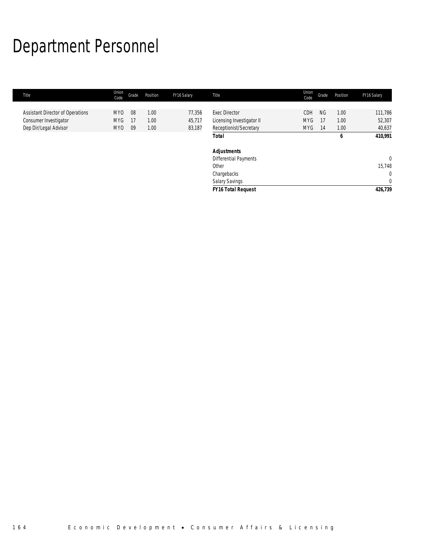# Department Personnel

| Title                            | Union<br>Code   | Grade | Position | FY16 Salary | Title                     | Union<br>Code | Grade     | Position | FY16 Salary  |
|----------------------------------|-----------------|-------|----------|-------------|---------------------------|---------------|-----------|----------|--------------|
|                                  |                 |       |          |             |                           |               |           |          |              |
| Assistant Director of Operations | MY <sub>0</sub> | 08    | 1.00     | 77,356      | <b>Exec Director</b>      | <b>CDH</b>    | <b>NG</b> | 1.00     | 111,786      |
| Consumer Investigator            | <b>MYG</b>      | -17   | 1.00     | 45,717      | Licensing Investigator II | <b>MYG</b>    | 17        | 1.00     | 52,307       |
| Dep Dir/Legal Advisor            | MY <sub>0</sub> | 09    | 1.00     | 83,187      | Receptionist/Secretary    | <b>MYG</b>    | 14        | 1.00     | 40,637       |
|                                  |                 |       |          |             | <b>Total</b>              |               |           | 6        | 410,991      |
|                                  |                 |       |          |             | <b>Adjustments</b>        |               |           |          |              |
|                                  |                 |       |          |             | Differential Payments     |               |           |          | $\Omega$     |
|                                  |                 |       |          |             | Other                     |               |           |          | 15,748       |
|                                  |                 |       |          |             | Chargebacks               |               |           |          | $\mathbf 0$  |
|                                  |                 |       |          |             | Salary Savings            |               |           |          | $\mathbf{0}$ |
|                                  |                 |       |          |             | <b>FY16 Total Request</b> |               |           |          | 426,739      |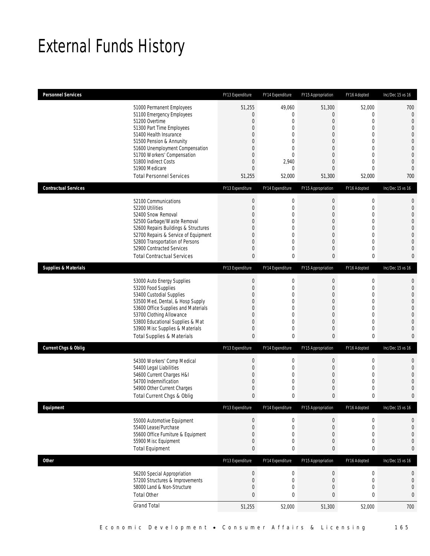## External Funds History

| <b>Personnel Services</b>       |                                                                                                                                                                                                                                                                                                            | FY13 Expenditure                                              | FY14 Expenditure                                                                                                              | FY15 Appropriation                                                                                  | FY16 Adopted                                                                                                                                                   | Inc/Dec 15 vs 16                                                                                                                                              |
|---------------------------------|------------------------------------------------------------------------------------------------------------------------------------------------------------------------------------------------------------------------------------------------------------------------------------------------------------|---------------------------------------------------------------|-------------------------------------------------------------------------------------------------------------------------------|-----------------------------------------------------------------------------------------------------|----------------------------------------------------------------------------------------------------------------------------------------------------------------|---------------------------------------------------------------------------------------------------------------------------------------------------------------|
|                                 | 51000 Permanent Employees<br>51100 Emergency Employees<br>51200 Overtime<br>51300 Part Time Employees<br>51400 Health Insurance<br>51500 Pension & Annunity<br>51600 Unemployment Compensation<br>51700 Workers' Compensation<br>51800 Indirect Costs<br>51900 Medicare<br><b>Total Personnel Services</b> | 51,255<br>0<br>0<br>0<br>0<br>0<br>0<br>0<br>0<br>0<br>51,255 | 49,060<br>0<br>0<br>$\mathbf{0}$<br>$\mathbf 0$<br>0<br>$\mathbf 0$<br>$\overline{0}$<br>2,940<br>$\mathbf{0}$<br>52,000      | 51,300<br>0<br>0<br>0<br>0<br>$\boldsymbol{0}$<br>0<br>0<br>$\overline{0}$<br>0<br>51,300           | 52,000<br>$\mathbf{0}$<br>$\mathbf 0$<br>$\mathbf{0}$<br>$\mathbf{0}$<br>$\mathbf 0$<br>$\mathbf{0}$<br>$\mathbf{0}$<br>$\mathbf{0}$<br>$\mathbf{0}$<br>52,000 | 700<br>$\mathbf{0}$<br>$\mathbf{0}$<br>$\mathbf{0}$<br>$\overline{0}$<br>$\overline{0}$<br>$\mathbf 0$<br>$\mathbf{0}$<br>$\mathbf{0}$<br>$\mathbf{0}$<br>700 |
| <b>Contractual Services</b>     |                                                                                                                                                                                                                                                                                                            | FY13 Expenditure                                              | FY14 Expenditure                                                                                                              | FY15 Appropriation                                                                                  | FY16 Adopted                                                                                                                                                   | Inc/Dec 15 vs 16                                                                                                                                              |
|                                 | 52100 Communications<br>52200 Utilities<br>52400 Snow Removal<br>52500 Garbage/Waste Removal<br>52600 Repairs Buildings & Structures<br>52700 Repairs & Service of Equipment<br>52800 Transportation of Persons<br>52900 Contracted Services<br><b>Total Contractual Services</b>                          | $\boldsymbol{0}$<br>0<br>0<br>0<br>0<br>0<br>0<br>0<br>0      | $\boldsymbol{0}$<br>$\mathbf 0$<br>$\mathbf 0$<br>$\mathbf 0$<br>$\mathbf{0}$<br>0<br>$\mathbf{0}$<br>$\mathbf 0$<br>$\bf{0}$ | $\boldsymbol{0}$<br>$\boldsymbol{0}$<br>0<br>$\boldsymbol{0}$<br>0<br>0<br>$\overline{0}$<br>0<br>0 | $\boldsymbol{0}$<br>$\mathbf 0$<br>$\mathbf{0}$<br>$\mathbf 0$<br>$\mathbf{0}$<br>$\mathbf{0}$<br>$\mathbf{0}$<br>$\mathbf{0}$<br>0                            | $\mathbf 0$<br>$\mathbf 0$<br>$\overline{0}$<br>$\overline{0}$<br>$\mathbf 0$<br>$\overline{0}$<br>$\mathbf{0}$<br>$\overline{0}$<br>0                        |
| <b>Supplies &amp; Materials</b> |                                                                                                                                                                                                                                                                                                            | FY13 Expenditure                                              | FY14 Expenditure                                                                                                              | FY15 Appropriation                                                                                  | FY16 Adopted                                                                                                                                                   | Inc/Dec 15 vs 16                                                                                                                                              |
|                                 | 53000 Auto Energy Supplies<br>53200 Food Supplies<br>53400 Custodial Supplies<br>53500 Med, Dental, & Hosp Supply<br>53600 Office Supplies and Materials<br>53700 Clothing Allowance<br>53800 Educational Supplies & Mat<br>53900 Misc Supplies & Materials<br><b>Total Supplies &amp; Materials</b>       | $\boldsymbol{0}$<br>0<br>0<br>0<br>0<br>0<br>0<br>0<br>0      | 0<br>$\mathbf 0$<br>$\mathbf 0$<br>0<br>$\overline{0}$<br>$\mathbf 0$<br>$\overline{0}$<br>$\mathbf 0$<br>0                   | $\boldsymbol{0}$<br>$\boldsymbol{0}$<br>0<br>0<br>$\overline{0}$<br>0<br>$\boldsymbol{0}$<br>0<br>0 | $\mathbf 0$<br>$\mathbf 0$<br>$\mathbf{0}$<br>$\mathbf{0}$<br>$\mathbf{0}$<br>$\mathbf{0}$<br>$\mathbf{0}$<br>$\mathbf{0}$<br>0                                | $\mathbf 0$<br>$\mathbf 0$<br>$\overline{0}$<br>$\overline{0}$<br>$\mathbf 0$<br>$\overline{0}$<br>$\overline{0}$<br>$\overline{0}$<br>$\mathbf{0}$           |
| <b>Current Chgs &amp; Oblig</b> |                                                                                                                                                                                                                                                                                                            | FY13 Expenditure                                              | FY14 Expenditure                                                                                                              | FY15 Appropriation                                                                                  | FY16 Adopted                                                                                                                                                   | Inc/Dec 15 vs 16                                                                                                                                              |
|                                 | 54300 Workers' Comp Medical<br>54400 Legal Liabilities<br>54600 Current Charges H&I<br>54700 Indemnification<br>54900 Other Current Charges<br>Total Current Chgs & Oblig                                                                                                                                  | $\boldsymbol{0}$<br>$\boldsymbol{0}$<br>0<br>0<br>0<br>0      | 0<br>$\mathbf 0$<br>$\mathbf 0$<br>$\mathbf 0$<br>$\mathbf 0$<br>0                                                            | $\boldsymbol{0}$<br>$\boldsymbol{0}$<br>0<br>0<br>0<br>0                                            | $\mathbf 0$<br>$\mathbf 0$<br>$\mathbf{0}$<br>$\mathbf 0$<br>$\mathbf 0$<br>0                                                                                  | $\mathbf 0$<br>$\mathbf{0}$<br>$\overline{0}$<br>$\overline{0}$<br>$\mathbf 0$<br>$\mathbf{0}$                                                                |
| Equipment                       |                                                                                                                                                                                                                                                                                                            | FY13 Expenditure                                              | FY14 Expenditure                                                                                                              | FY15 Appropriation                                                                                  | FY16 Adopted                                                                                                                                                   | Inc/Dec 15 vs 16                                                                                                                                              |
|                                 | 55000 Automotive Equipment<br>55400 Lease/Purchase<br>55600 Office Furniture & Equipment<br>55900 Misc Equipment<br><b>Total Equipment</b>                                                                                                                                                                 | $\boldsymbol{0}$<br>$\boldsymbol{0}$<br>0<br>0<br>0           | 0<br>$\mathbf 0$<br>$\mathbf 0$<br>0<br>0                                                                                     | $\boldsymbol{0}$<br>$\boldsymbol{0}$<br>$\mathbf 0$<br>$\boldsymbol{0}$<br>0                        | $\boldsymbol{0}$<br>$\mathbf 0$<br>$\mathbf 0$<br>$\boldsymbol{0}$<br>0                                                                                        | $\mathbf 0$<br>$\mathbf 0$<br>$\mathbf 0$<br>$\mathbf 0$<br>0                                                                                                 |
| Other                           |                                                                                                                                                                                                                                                                                                            | FY13 Expenditure                                              | FY14 Expenditure                                                                                                              | FY15 Appropriation                                                                                  | FY16 Adopted                                                                                                                                                   | Inc/Dec 15 vs 16                                                                                                                                              |
|                                 | 56200 Special Appropriation<br>57200 Structures & Improvements<br>58000 Land & Non-Structure<br><b>Total Other</b>                                                                                                                                                                                         | $\boldsymbol{0}$<br>$\boldsymbol{0}$<br>0<br>0                | $\boldsymbol{0}$<br>$\mathbf 0$<br>$\mathbf 0$<br>0                                                                           | $\boldsymbol{0}$<br>$\boldsymbol{0}$<br>0<br>$\bf{0}$                                               | $\boldsymbol{0}$<br>$\mathbf 0$<br>$\mathbf 0$<br>$\mathbf{0}$                                                                                                 | 0<br>$\mathbf 0$<br>$\mathbf 0$<br>$\bf{0}$                                                                                                                   |
|                                 | <b>Grand Total</b>                                                                                                                                                                                                                                                                                         | 51,255                                                        | 52,000                                                                                                                        | 51,300                                                                                              | 52,000                                                                                                                                                         | 700                                                                                                                                                           |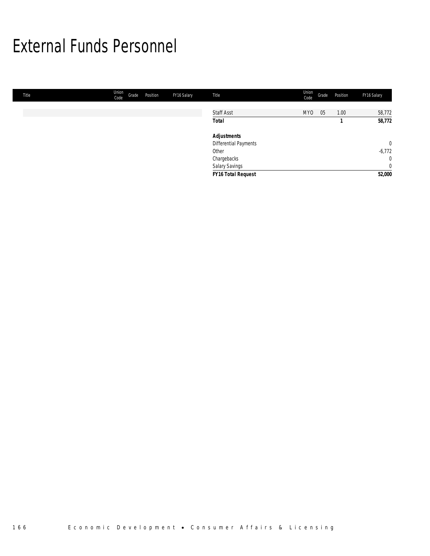## External Funds Personnel

| Title | Union<br>Code | Grade | Position | FY16 Salary | Title                 | Union<br>Code   | Grade | Position | FY16 Salary    |
|-------|---------------|-------|----------|-------------|-----------------------|-----------------|-------|----------|----------------|
|       |               |       |          |             |                       |                 |       |          |                |
|       |               |       |          |             | <b>Staff Asst</b>     | MY <sub>0</sub> | 05    | 1.00     | 58,772         |
|       |               |       |          |             | <b>Total</b>          |                 |       |          | 58,772         |
|       |               |       |          |             | <b>Adjustments</b>    |                 |       |          |                |
|       |               |       |          |             | Differential Payments |                 |       |          | $\overline{0}$ |
|       |               |       |          |             | Other                 |                 |       |          | $-6,772$       |
|       |               |       |          |             | Chargebacks           |                 |       |          | $\overline{0}$ |
|       |               |       |          |             | Salary Savings        |                 |       |          | $\mathbf 0$    |
|       |               |       |          |             | FY16 Total Request    |                 |       |          | 52,000         |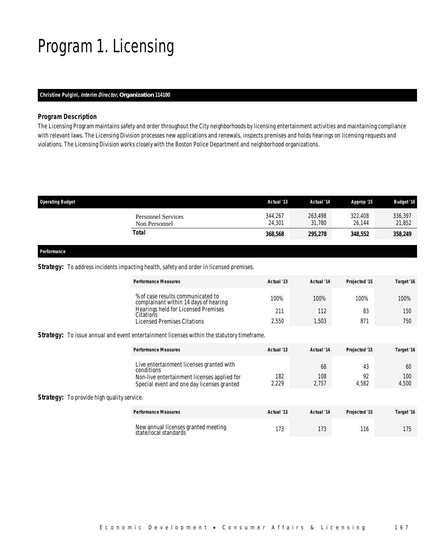## Program 1. Licensing

### *Christine Pulgini, Interim Director, Organization 114100*

#### *Program Description*

The Licensing Program maintains safety and order throughout the City neighborhoods by licensing entertainment activities and maintaining compliance with relevant laws. The Licensing Division processes new applications and renewals, inspects premises and holds hearings on licensing requests and violations. The Licensing Division works closely with the Boston Police Department and neighborhood organizations.

| <b>Operating Budget</b>                    | Actual '13        | Actual '14        | Approp '15        | <b>Budget '16</b> |
|--------------------------------------------|-------------------|-------------------|-------------------|-------------------|
| <b>Personnel Services</b><br>Non Personnel | 344,267<br>24,301 | 263,498<br>31,780 | 322,408<br>26.144 | 336,397<br>21,852 |
| Total                                      | 368,568           | 295,278           | 348,552           | 358,249           |
|                                            |                   |                   |                   |                   |

*Performance* 

#### **Strategy:** To address incidents impacting health, safety and order in licensed premises.

| <b>Performance Measures</b>                                                | Actual '13 | Actual '14 | Projected '15 | Target '16 |
|----------------------------------------------------------------------------|------------|------------|---------------|------------|
| % of case results communicated to<br>complainant within 14 days of hearing | 100%       | 100%       | 100%          | 100%       |
| Hearings held for Licensed Premises<br>Citations                           | 211        | 112        | 83            | 150        |
| Licensed Premises Citations                                                | 2.550      | .503       | 871           | 750        |

**Strategy:** To issue annual and event entertainment licenses within the statutory timeframe.

| <b>Performance Measures</b>                            | Actual '13   | Actual '14   | Projected '15 | Target '16   |
|--------------------------------------------------------|--------------|--------------|---------------|--------------|
| Live entertainment licenses granted with<br>conditions |              | 68           |               | 60           |
| Non-live entertainment licenses applied for            | 182<br>2.229 | 108<br>2.757 | 4.582         | 100<br>4.500 |
| Special event and one day licenses granted             |              |              |               |              |

### **Strategy:** To provide high quality service.

| <b>Performance Measures</b>                                  | Actual '13 | Actual '14 | Projected '15 | Target '16 |
|--------------------------------------------------------------|------------|------------|---------------|------------|
| New annual licenses granted meeting<br>state/local standards | 170        |            | 116           | 175        |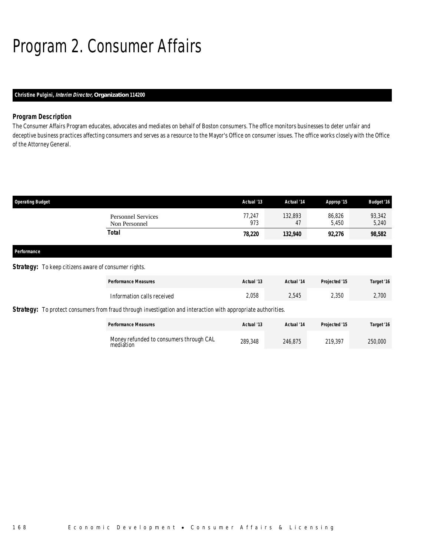# Program 2. Consumer Affairs

### *Christine Pulgini, Interim Director, Organization 114200*

#### *Program Description*

The Consumer Affairs Program educates, advocates and mediates on behalf of Boston consumers. The office monitors businesses to deter unfair and deceptive business practices affecting consumers and serves as a resource to the Mayor's Office on consumer issues. The office works closely with the Office of the Attorney General.

| <b>Operating Budget</b>                                     |                                                                                                                      | Actual '13    | Actual '14    | Approp '15      | <b>Budget '16</b> |
|-------------------------------------------------------------|----------------------------------------------------------------------------------------------------------------------|---------------|---------------|-----------------|-------------------|
|                                                             | <b>Personnel Services</b><br>Non Personnel                                                                           | 77,247<br>973 | 132,893<br>47 | 86,826<br>5,450 | 93,342<br>5,240   |
|                                                             | <b>Total</b>                                                                                                         | 78,220        | 132,940       | 92,276          | 98,582            |
| Performance                                                 |                                                                                                                      |               |               |                 |                   |
| <b>Strategy:</b> To keep citizens aware of consumer rights. |                                                                                                                      |               |               |                 |                   |
|                                                             | <b>Performance Measures</b>                                                                                          | Actual '13    | Actual '14    | Projected '15   | Target '16        |
|                                                             | Information calls received                                                                                           | 2,058         | 2,545         | 2,350           | 2,700             |
|                                                             | <b>Strategy:</b> To protect consumers from fraud through investigation and interaction with appropriate authorities. |               |               |                 |                   |
|                                                             | <b>Performance Measures</b>                                                                                          | Actual '13    | Actual '14    | Projected '15   | Target '16        |
|                                                             | Money refunded to consumers through CAL<br>mediation                                                                 | 289,348       | 246,875       | 219,397         | 250,000           |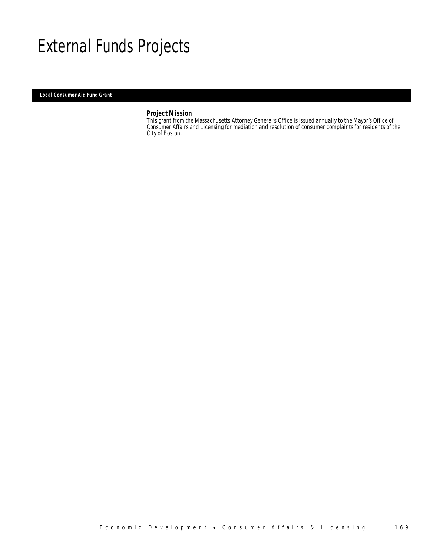## External Funds Projects

*Local Consumer Aid Fund Grant* 

#### *Project Mission*

This grant from the Massachusetts Attorney General's Office is issued annually to the Mayor's Office of Consumer Affairs and Licensing for mediation and resolution of consumer complaints for residents of the City of Boston.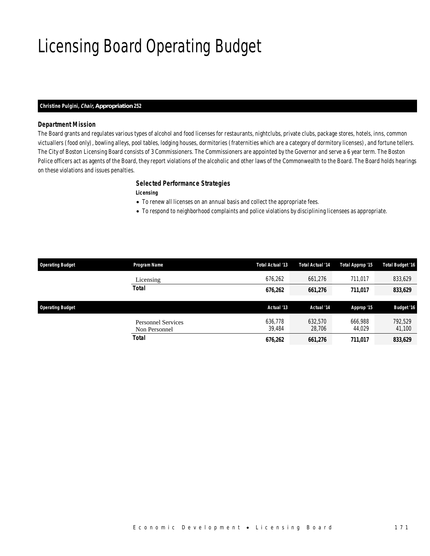# Licensing Board Operating Budget

#### *Christine Pulgini, Chair, Appropriation 252*

### *Department Mission*

The Board grants and regulates various types of alcohol and food licenses for restaurants, nightclubs, private clubs, package stores, hotels, inns, common victuallers (food only), bowling alleys, pool tables, lodging houses, dormitories (fraternities which are a category of dormitory licenses), and fortune tellers. The City of Boston Licensing Board consists of 3 Commissioners. The Commissioners are appointed by the Governor and serve a 6 year term. The Boston Police officers act as agents of the Board, they report violations of the alcoholic and other laws of the Commonwealth to the Board. The Board holds hearings on these violations and issues penalties.

#### *Selected Performance Strategies*

### *Licensing*

- To renew all licenses on an annual basis and collect the appropriate fees.
- To respond to neighborhood complaints and police violations by disciplining licensees as appropriate.

| <b>Operating Budget</b> | Program Name              | Total Actual '13  | Total Actual '14 | Total Approp '15  | <b>Total Budget '16</b> |
|-------------------------|---------------------------|-------------------|------------------|-------------------|-------------------------|
|                         | Licensing                 | 676.262           | 661.276          | 711,017           | 833,629                 |
|                         | <b>Total</b>              | 676,262           | 661,276          | 711,017           | 833,629                 |
| <b>Operating Budget</b> |                           | Actual '13        | Actual '14       | Approp '15        | <b>Budget '16</b>       |
|                         | <b>Personnel Services</b> | 636.778<br>39.484 | 632.570          | 666.988<br>44.029 | 792,529                 |
|                         | Non Personnel             |                   | 28,706           |                   | 41,100                  |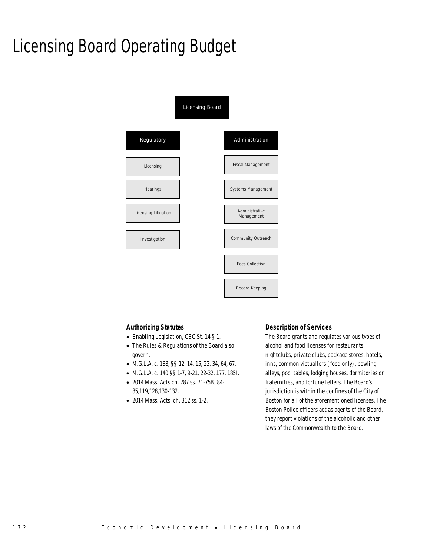## Licensing Board Operating Budget



#### *Authorizing Statutes*

- Enabling Legislation, CBC St. 14 § 1.
- The Rules & Regulations of the Board also govern.
- M.G.L.A. c. 138, §§ 12, 14, 15, 23, 34, 64, 67.
- M.G.L.A. c. 140 §§ 1-7, 9-21, 22-32, 177, 185I.
- 2014 Mass. Acts ch. 287 ss. 71-75B, 84- 85,119,128,130-132.
- 2014 Mass. Acts. ch. 312 ss. 1-2.

#### *Description of Services*

The Board grants and regulates various types of alcohol and food licenses for restaurants, nightclubs, private clubs, package stores, hotels, inns, common victuallers (food only), bowling alleys, pool tables, lodging houses, dormitories or fraternities, and fortune tellers. The Board's jurisdiction is within the confines of the City of Boston for all of the aforementioned licenses. The Boston Police officers act as agents of the Board, they report violations of the alcoholic and other laws of the Commonwealth to the Board.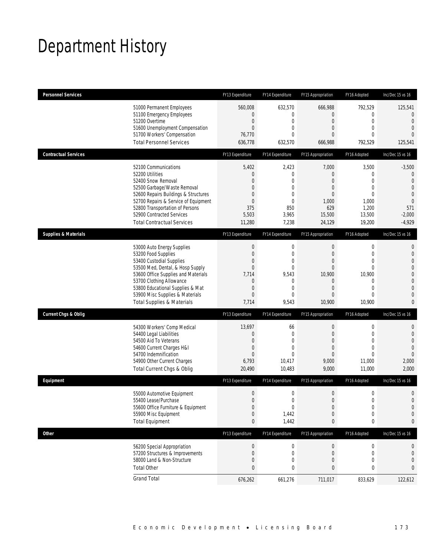## Department History

| <b>Personnel Services</b>       |                                                                                                                                                                                                                                                                                                      | FY13 Expenditure                                                                                                                     | FY14 Expenditure                                                                                       | FY15 Appropriation                                                                                         | FY16 Adopted                                                                                                           | Inc/Dec 15 vs 16                                                                                                                                   |
|---------------------------------|------------------------------------------------------------------------------------------------------------------------------------------------------------------------------------------------------------------------------------------------------------------------------------------------------|--------------------------------------------------------------------------------------------------------------------------------------|--------------------------------------------------------------------------------------------------------|------------------------------------------------------------------------------------------------------------|------------------------------------------------------------------------------------------------------------------------|----------------------------------------------------------------------------------------------------------------------------------------------------|
|                                 | 51000 Permanent Employees<br>51100 Emergency Employees<br>51200 Overtime<br>51600 Unemployment Compensation<br>51700 Workers' Compensation<br><b>Total Personnel Services</b>                                                                                                                        | 560,008<br>0<br>$\boldsymbol{0}$<br>$\overline{0}$<br>76,770<br>636,778                                                              | 632,570<br>0<br>$\boldsymbol{0}$<br>$\mathbf{0}$<br>0<br>632,570                                       | 666,988<br>0<br>$\boldsymbol{0}$<br>0<br>0<br>666,988                                                      | 792,529<br>0<br>$\mathbf 0$<br>$\mathbf{0}$<br>$\Omega$<br>792,529                                                     | 125,541<br>$\mathbf{0}$<br>$\mathbf{0}$<br>$\overline{0}$<br>$\Omega$<br>125,541                                                                   |
| <b>Contractual Services</b>     |                                                                                                                                                                                                                                                                                                      | FY13 Expenditure                                                                                                                     | FY14 Expenditure                                                                                       | FY15 Appropriation                                                                                         | FY16 Adopted                                                                                                           | Inc/Dec 15 vs 16                                                                                                                                   |
|                                 | 52100 Communications<br>52200 Utilities<br>52400 Snow Removal<br>52500 Garbage/Waste Removal<br>52600 Repairs Buildings & Structures<br>52700 Repairs & Service of Equipment<br>52800 Transportation of Persons<br>52900 Contracted Services<br><b>Total Contractual Services</b>                    | 5,402<br>$\mathbf 0$<br>$\Omega$<br>$\overline{0}$<br>0<br>$\boldsymbol{0}$<br>375<br>5,503<br>11,280                                | 2,423<br>0<br>0<br>0<br>$\mathbf{0}$<br>$\mathbf 0$<br>850<br>3,965<br>7,238                           | 7,000<br>$\mathbf{0}$<br>0<br>0<br>0<br>1,000<br>629<br>15,500<br>24,129                                   | 3,500<br>0<br>$\overline{0}$<br>$\overline{0}$<br>$\mathbf{0}$<br>1,000<br>1,200<br>13,500<br>19,200                   | $-3,500$<br>0<br>$\overline{0}$<br>$\overline{0}$<br>$\theta$<br>$\overline{0}$<br>571<br>$-2,000$<br>$-4,929$                                     |
| <b>Supplies &amp; Materials</b> |                                                                                                                                                                                                                                                                                                      | FY13 Expenditure                                                                                                                     | FY14 Expenditure                                                                                       | FY15 Appropriation                                                                                         | FY16 Adopted                                                                                                           | Inc/Dec 15 vs 16                                                                                                                                   |
|                                 | 53000 Auto Energy Supplies<br>53200 Food Supplies<br>53400 Custodial Supplies<br>53500 Med, Dental, & Hosp Supply<br>53600 Office Supplies and Materials<br>53700 Clothing Allowance<br>53800 Educational Supplies & Mat<br>53900 Misc Supplies & Materials<br><b>Total Supplies &amp; Materials</b> | $\boldsymbol{0}$<br>$\boldsymbol{0}$<br>0<br>$\boldsymbol{0}$<br>7,714<br>$\mathbf 0$<br>$\boldsymbol{0}$<br>$\overline{0}$<br>7,714 | $\mathbf 0$<br>$\mathbf 0$<br>$\mathbf{0}$<br>$\mathbf{0}$<br>9,543<br>0<br>$\mathbf{0}$<br>0<br>9,543 | $\mathbf 0$<br>$\mathbf{0}$<br>0<br>$\mathbf{0}$<br>10,900<br>$\mathbf 0$<br>$\overline{0}$<br>0<br>10,900 | $\mathbf 0$<br>$\mathbf{0}$<br>$\mathbf{0}$<br>$\mathbf{0}$<br>10,900<br>0<br>$\mathbf{0}$<br>$\overline{0}$<br>10,900 | $\mathbf{0}$<br>$\mathbf 0$<br>$\overline{0}$<br>$\overline{0}$<br>$\mathbf 0$<br>$\overline{0}$<br>$\mathbf{0}$<br>$\overline{0}$<br>$\mathbf{0}$ |
| <b>Current Chgs &amp; Oblig</b> |                                                                                                                                                                                                                                                                                                      | FY13 Expenditure                                                                                                                     | FY14 Expenditure                                                                                       | FY15 Appropriation                                                                                         | FY16 Adopted                                                                                                           | Inc/Dec 15 vs 16                                                                                                                                   |
|                                 | 54300 Workers' Comp Medical<br>54400 Legal Liabilities<br>54500 Aid To Veterans<br>54600 Current Charges H&I<br>54700 Indemnification<br>54900 Other Current Charges<br>Total Current Chgs & Oblig                                                                                                   | 13,697<br>$\boldsymbol{0}$<br>$\overline{0}$<br>$\boldsymbol{0}$<br>$\overline{0}$<br>6,793<br>20,490                                | 66<br>$\mathbf 0$<br>$\mathbf{0}$<br>$\overline{0}$<br>$\Omega$<br>10,417<br>10,483                    | $\boldsymbol{0}$<br>$\boldsymbol{0}$<br>0<br>$\overline{0}$<br>$\overline{0}$<br>9,000<br>9,000            | 0<br>$\mathbf 0$<br>$\mathbf{0}$<br>$\mathbf{0}$<br>$\Omega$<br>11,000<br>11,000                                       | $\mathbf 0$<br>$\mathbf 0$<br>$\overline{0}$<br>$\overline{0}$<br>$\overline{0}$<br>2,000<br>2,000                                                 |
| Equipment                       |                                                                                                                                                                                                                                                                                                      | FY13 Expenditure                                                                                                                     | FY14 Expenditure                                                                                       | FY15 Appropriation                                                                                         | FY16 Adopted                                                                                                           | Inc/Dec 15 vs 16                                                                                                                                   |
|                                 | 55000 Automotive Equipment<br>55400 Lease/Purchase<br>55600 Office Furniture & Equipment<br>55900 Misc Equipment<br><b>Total Equipment</b>                                                                                                                                                           | $\boldsymbol{0}$<br>$\overline{0}$<br>$\boldsymbol{0}$<br>$\boldsymbol{0}$<br>$\bf{0}$                                               | 0<br>$\mathbf 0$<br>0<br>1,442<br>1,442                                                                | $\boldsymbol{0}$<br>$\mathbf{0}$<br>$\boldsymbol{0}$<br>$\boldsymbol{0}$<br>0                              | $\mathbf 0$<br>$\overline{0}$<br>$\boldsymbol{0}$<br>$\mathbf 0$<br>0                                                  | $\mathbf 0$<br>$\overline{0}$<br>$\mathbf 0$<br>$\mathbf 0$<br>0                                                                                   |
| <b>Other</b>                    |                                                                                                                                                                                                                                                                                                      | FY13 Expenditure                                                                                                                     | FY14 Expenditure                                                                                       | FY15 Appropriation                                                                                         | FY16 Adopted                                                                                                           | Inc/Dec 15 vs 16                                                                                                                                   |
|                                 | 56200 Special Appropriation<br>57200 Structures & Improvements<br>58000 Land & Non-Structure<br><b>Total Other</b>                                                                                                                                                                                   | $\pmb{0}$<br>$\pmb{0}$<br>$\boldsymbol{0}$<br>$\bf{0}$                                                                               | 0<br>0<br>0<br>0                                                                                       | $\boldsymbol{0}$<br>$\mathbf 0$<br>$\boldsymbol{0}$<br>0                                                   | 0<br>0<br>0<br>0                                                                                                       | 0<br>$\mathbf 0$<br>$\mathbf 0$<br>0                                                                                                               |
|                                 | <b>Grand Total</b>                                                                                                                                                                                                                                                                                   | 676,262                                                                                                                              | 661,276                                                                                                | 711,017                                                                                                    | 833,629                                                                                                                | 122,612                                                                                                                                            |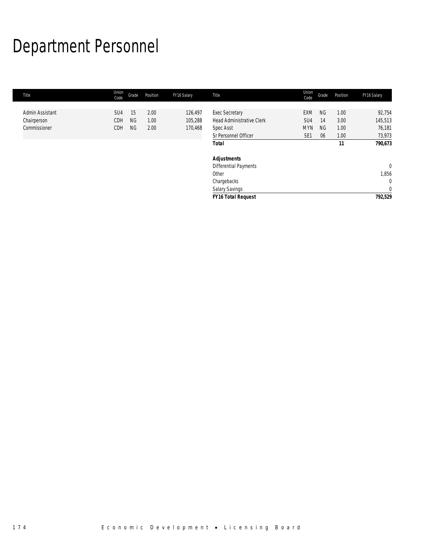# Department Personnel

| Title           | Union<br>Code | Grade     | Position | FY16 Salary | Title                            | Union<br>Code   | Grade     | Position | FY16 Salary    |
|-----------------|---------------|-----------|----------|-------------|----------------------------------|-----------------|-----------|----------|----------------|
|                 |               |           |          |             |                                  |                 |           |          |                |
| Admin Assistant | SU4           | 15        | 2.00     | 126,497     | Exec Secretary                   | <b>EXM</b>      | <b>NG</b> | 1.00     | 92,754         |
| Chairperson     | CDH           | <b>NG</b> | 1.00     | 105,288     | <b>Head Administrative Clerk</b> | SU <sub>4</sub> | 14        | 3.00     | 145,513        |
| Commissioner    | CDH           | <b>NG</b> | 2.00     | 170,468     | <b>Spec Asst</b>                 | <b>MYN</b>      | <b>NG</b> | 1.00     | 76,181         |
|                 |               |           |          |             | Sr Personnel Officer             | SE <sub>1</sub> | 06        | 1.00     | 73,973         |
|                 |               |           |          |             | <b>Total</b>                     |                 |           | 11       | 790,673        |
|                 |               |           |          |             | <b>Adjustments</b>               |                 |           |          |                |
|                 |               |           |          |             | Differential Payments            |                 |           |          | $\overline{0}$ |
|                 |               |           |          |             | Other                            |                 |           |          | 1,856          |
|                 |               |           |          |             | Chargebacks                      |                 |           |          | $\mathbf 0$    |
|                 |               |           |          |             | <b>Salary Savings</b>            |                 |           |          | $\mathbf{0}$   |
|                 |               |           |          |             | <b>FY16 Total Request</b>        |                 |           |          | 792,529        |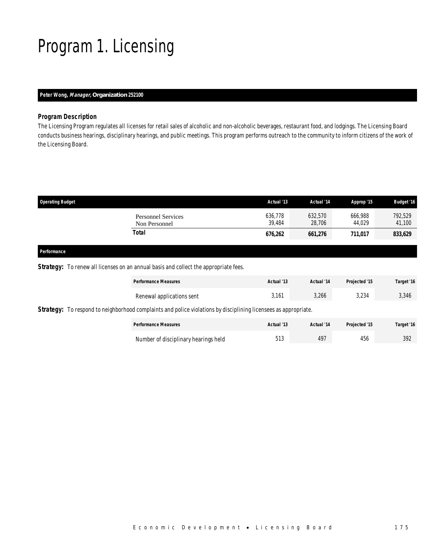## Program 1. Licensing

### *Peter Wong, Manager, Organization 252100*

#### *Program Description*

The Licensing Program regulates all licenses for retail sales of alcoholic and non-alcoholic beverages, restaurant food, and lodgings. The Licensing Board conducts business hearings, disciplinary hearings, and public meetings. This program performs outreach to the community to inform citizens of the work of the Licensing Board.

| <b>Operating Budget</b>                    | Actual '13        | Actual '14        | Approp '15        | <b>Budget '16</b> |
|--------------------------------------------|-------------------|-------------------|-------------------|-------------------|
| <b>Personnel Services</b><br>Non Personnel | 636,778<br>39.484 | 632,570<br>28,706 | 666.988<br>44.029 | 792,529<br>41,100 |
| Total                                      | 676,262           | 661,276           | 711,017           | 833,629           |
|                                            |                   |                   |                   |                   |

#### *Performance*

### **Strategy:** To renew all licenses on an annual basis and collect the appropriate fees.

|                                                                                                                        | <b>Performance Measures</b>          | Actual '13 | Actual '14 | Projected '15 | Target '16 |  |
|------------------------------------------------------------------------------------------------------------------------|--------------------------------------|------------|------------|---------------|------------|--|
|                                                                                                                        | Renewal applications sent            | 3.161      | 3,266      | 3.234         | 3,346      |  |
| <b>Strategy:</b> To respond to neighborhood complaints and police violations by disciplining licensees as appropriate. |                                      |            |            |               |            |  |
|                                                                                                                        | <b>Performance Measures</b>          | Actual '13 | Actual '14 | Projected '15 | Target '16 |  |
|                                                                                                                        | Number of disciplinary hearings held | 513        | 497        | 456           | 392        |  |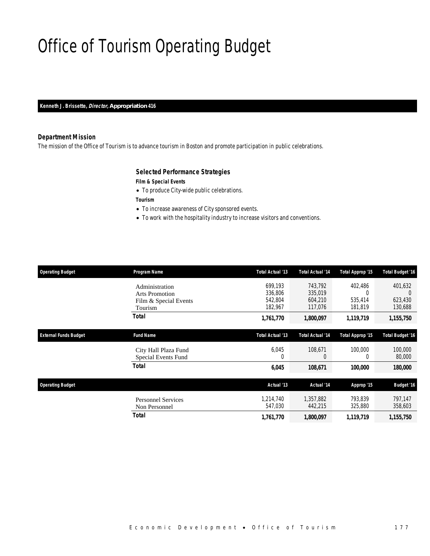## Office of Tourism Operating Budget

*Kenneth J. Brissette, Director, Appropriation 416* 

### *Department Mission*

The mission of the Office of Tourism is to advance tourism in Boston and promote participation in public celebrations.

### *Selected Performance Strategies*

### *Film & Special Events*

• To produce City-wide public celebrations.

*Tourism* 

- To increase awareness of City sponsored events.
- To work with the hospitality industry to increase visitors and conventions.

| <b>Operating Budget</b>      | Program Name                                                                | Total Actual '13                         | <b>Total Actual '14</b>                  | Total Approp '15                          | <b>Total Budget '16</b>                         |
|------------------------------|-----------------------------------------------------------------------------|------------------------------------------|------------------------------------------|-------------------------------------------|-------------------------------------------------|
|                              | Administration<br><b>Arts Promotion</b><br>Film & Special Events<br>Tourism | 699,193<br>336,806<br>542,804<br>182,967 | 743,792<br>335,019<br>604,210<br>117,076 | 402,486<br>$\Omega$<br>535,414<br>181,819 | 401,632<br>$\overline{0}$<br>623,430<br>130,688 |
|                              | Total                                                                       | 1,761,770                                | 1,800,097                                | 1,119,719                                 | 1,155,750                                       |
| <b>External Funds Budget</b> | <b>Fund Name</b>                                                            | Total Actual '13                         | <b>Total Actual '14</b>                  | Total Approp '15                          | <b>Total Budget '16</b>                         |
|                              | City Hall Plaza Fund<br>Special Events Fund                                 | 6,045<br>0                               | 108,671<br>$\theta$                      | 100,000<br>0                              | 100,000<br>80,000                               |
|                              | <b>Total</b>                                                                | 6,045                                    | 108,671                                  | 100,000                                   | 180,000                                         |
| <b>Operating Budget</b>      |                                                                             | Actual '13                               | Actual '14                               | Approp '15                                | <b>Budget '16</b>                               |
|                              | <b>Personnel Services</b><br>Non Personnel                                  | 1,214,740<br>547,030                     | 1,357,882<br>442,215                     | 793,839<br>325,880                        | 797,147<br>358,603                              |
|                              | <b>Total</b>                                                                | 1,761,770                                | 1,800,097                                | 1,119,719                                 | 1,155,750                                       |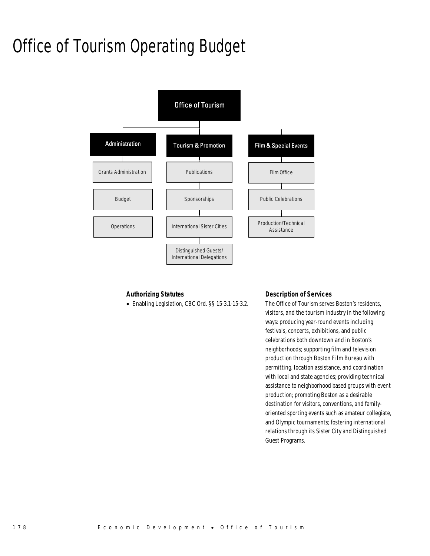## Office of Tourism Operating Budget



### *Authorizing Statutes*

• Enabling Legislation, CBC Ord. §§ 15-3.1-15-3.2.

### *Description of Services*

The Office of Tourism serves Boston's residents, visitors, and the tourism industry in the following ways: producing year-round events including festivals, concerts, exhibitions, and public celebrations both downtown and in Boston's neighborhoods; supporting film and television production through Boston Film Bureau with permitting, location assistance, and coordination with local and state agencies; providing technical assistance to neighborhood based groups with event production; promoting Boston as a desirable destination for visitors, conventions, and familyoriented sporting events such as amateur collegiate, and Olympic tournaments; fostering international relations through its Sister City and Distinguished Guest Programs.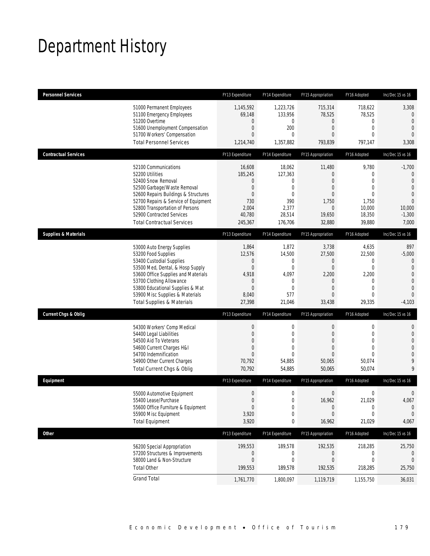## Department History

| <b>Personnel Services</b>       |                                                                                                                                                                                                                                                                                                      | FY13 Expenditure                                                                             | FY14 Expenditure                                                                                     | FY15 Appropriation                                                                                               | FY16 Adopted                                                                                          | Inc/Dec 15 vs 16                                                                                                  |
|---------------------------------|------------------------------------------------------------------------------------------------------------------------------------------------------------------------------------------------------------------------------------------------------------------------------------------------------|----------------------------------------------------------------------------------------------|------------------------------------------------------------------------------------------------------|------------------------------------------------------------------------------------------------------------------|-------------------------------------------------------------------------------------------------------|-------------------------------------------------------------------------------------------------------------------|
|                                 | 51000 Permanent Employees<br>51100 Emergency Employees<br>51200 Overtime<br>51600 Unemployment Compensation<br>51700 Workers' Compensation<br><b>Total Personnel Services</b>                                                                                                                        | 1,145,592<br>69,148<br>0<br>$\boldsymbol{0}$<br>$\overline{0}$<br>1,214,740                  | 1,223,726<br>133,956<br>0<br>200<br>$\mathbf{0}$<br>1,357,882                                        | 715,314<br>78,525<br>$\mathbf 0$<br>$\boldsymbol{0}$<br>0<br>793,839                                             | 718,622<br>78,525<br>0<br>$\boldsymbol{0}$<br>$\mathbf{0}$<br>797,147                                 | 3,308<br>0<br>$\mathbf{0}$<br>$\mathbf{0}$<br>$\overline{0}$<br>3,308                                             |
| <b>Contractual Services</b>     |                                                                                                                                                                                                                                                                                                      | FY13 Expenditure                                                                             | FY14 Expenditure                                                                                     | FY15 Appropriation                                                                                               | FY16 Adopted                                                                                          | Inc/Dec 15 vs 16                                                                                                  |
|                                 | 52100 Communications<br>52200 Utilities<br>52400 Snow Removal<br>52500 Garbage/Waste Removal<br>52600 Repairs Buildings & Structures<br>52700 Repairs & Service of Equipment<br>52800 Transportation of Persons<br>52900 Contracted Services<br><b>Total Contractual Services</b>                    | 16,608<br>185,245<br>0<br>$\mathbf 0$<br>$\overline{0}$<br>730<br>2,004<br>40,780<br>245,367 | 18,062<br>127,363<br>$\mathbf 0$<br>$\mathbf 0$<br>$\mathbf{0}$<br>390<br>2,377<br>28,514<br>176,706 | 11,480<br>$\mathbf{0}$<br>0<br>$\overline{0}$<br>$\overline{0}$<br>1,750<br>$\boldsymbol{0}$<br>19,650<br>32,880 | 9,780<br>0<br>$\overline{0}$<br>$\mathbf{0}$<br>$\mathbf{0}$<br>1,750<br>10,000<br>18,350<br>39,880   | $-1,700$<br>0<br>$\overline{0}$<br>$\overline{0}$<br>$\mathbf 0$<br>$\overline{0}$<br>10,000<br>$-1,300$<br>7,000 |
| <b>Supplies &amp; Materials</b> |                                                                                                                                                                                                                                                                                                      | FY13 Expenditure                                                                             | FY14 Expenditure                                                                                     | FY15 Appropriation                                                                                               | FY16 Adopted                                                                                          | Inc/Dec 15 vs 16                                                                                                  |
|                                 | 53000 Auto Energy Supplies<br>53200 Food Supplies<br>53400 Custodial Supplies<br>53500 Med, Dental, & Hosp Supply<br>53600 Office Supplies and Materials<br>53700 Clothing Allowance<br>53800 Educational Supplies & Mat<br>53900 Misc Supplies & Materials<br><b>Total Supplies &amp; Materials</b> | 1,864<br>12,576<br>0<br>$\boldsymbol{0}$<br>4,918<br>0<br>$\overline{0}$<br>8,040<br>27,398  | 1,872<br>14,500<br>0<br>0<br>4,097<br>$\mathbf 0$<br>$\mathbf{0}$<br>577<br>21,046                   | 3,738<br>27,500<br>0<br>$\boldsymbol{0}$<br>2,200<br>0<br>$\overline{0}$<br>0<br>33,438                          | 4,635<br>22,500<br>0<br>$\mathbf 0$<br>2,200<br>$\mathbf 0$<br>$\mathbf{0}$<br>$\mathbf{0}$<br>29,335 | 897<br>$-5,000$<br>0<br>$\mathbf{0}$<br>$\overline{0}$<br>$\overline{0}$<br>$\mathbf 0$<br>$\Omega$<br>$-4,103$   |
| <b>Current Chgs &amp; Oblig</b> |                                                                                                                                                                                                                                                                                                      | FY13 Expenditure                                                                             | FY14 Expenditure                                                                                     | FY15 Appropriation                                                                                               | FY16 Adopted                                                                                          | Inc/Dec 15 vs 16                                                                                                  |
|                                 | 54300 Workers' Comp Medical<br>54400 Legal Liabilities<br>54500 Aid To Veterans<br>54600 Current Charges H&I<br>54700 Indemnification<br>54900 Other Current Charges<br>Total Current Chgs & Oblig                                                                                                   | $\boldsymbol{0}$<br>$\mathbf 0$<br>$\overline{0}$<br>0<br>$\overline{0}$<br>70,792<br>70,792 | 0<br>$\mathbf{0}$<br>$\overline{0}$<br>0<br>$\Omega$<br>54,885<br>54,885                             | $\boldsymbol{0}$<br>$\overline{0}$<br>$\overline{0}$<br>$\overline{0}$<br>0<br>50,065<br>50,065                  | $\boldsymbol{0}$<br>$\mathbf{0}$<br>$\overline{0}$<br>$\mathbf{0}$<br>$\theta$<br>50,074<br>50,074    | 0<br>$\mathbf 0$<br>$\overline{0}$<br>$\overline{0}$<br>$\overline{0}$<br>9<br>9                                  |
| Equipment                       |                                                                                                                                                                                                                                                                                                      | FY13 Expenditure                                                                             | FY14 Expenditure                                                                                     | FY15 Appropriation                                                                                               | FY16 Adopted                                                                                          | Inc/Dec 15 vs 16                                                                                                  |
|                                 | 55000 Automotive Equipment<br>55400 Lease/Purchase<br>55600 Office Furniture & Equipment<br>55900 Misc Equipment<br><b>Total Equipment</b>                                                                                                                                                           | $\boldsymbol{0}$<br>$\Omega$<br>$\boldsymbol{0}$<br>3,920<br>3,920                           | 0<br>0<br>0<br>0<br>0                                                                                | $\boldsymbol{0}$<br>16,962<br>0<br>$\mathbf{0}$<br>16,962                                                        | $\boldsymbol{0}$<br>21,029<br>$\boldsymbol{0}$<br>0<br>21,029                                         | $\mathbf 0$<br>4,067<br>$\mathbf{0}$<br>$\mathbf 0$<br>4,067                                                      |
| <b>Other</b>                    |                                                                                                                                                                                                                                                                                                      | FY13 Expenditure                                                                             | FY14 Expenditure                                                                                     | FY15 Appropriation                                                                                               | FY16 Adopted                                                                                          | Inc/Dec 15 vs 16                                                                                                  |
|                                 | 56200 Special Appropriation<br>57200 Structures & Improvements<br>58000 Land & Non-Structure<br><b>Total Other</b>                                                                                                                                                                                   | 199,553<br>$\boldsymbol{0}$<br>$\boldsymbol{0}$<br>199,553                                   | 189,578<br>0<br>$\boldsymbol{0}$<br>189,578                                                          | 192,535<br>0<br>$\boldsymbol{0}$<br>192,535                                                                      | 218,285<br>0<br>$\boldsymbol{0}$<br>218,285                                                           | 25,750<br>0<br>$\mathbf 0$<br>25,750                                                                              |
|                                 | <b>Grand Total</b>                                                                                                                                                                                                                                                                                   | 1,761,770                                                                                    | 1,800,097                                                                                            | 1,119,719                                                                                                        | 1,155,750                                                                                             | 36,031                                                                                                            |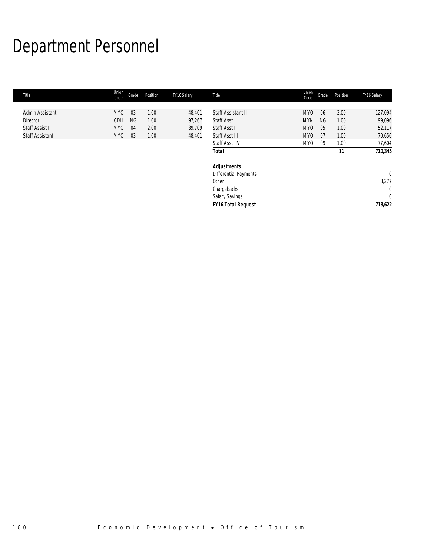# Department Personnel

| Title                  | Union<br>Code   | Grade     | Position | FY16 Salary | Title                        | Union<br>Code   | Grade     | Position | FY16 Salary      |
|------------------------|-----------------|-----------|----------|-------------|------------------------------|-----------------|-----------|----------|------------------|
|                        |                 |           |          |             |                              |                 |           |          |                  |
| Admin Assistant        | MY0             | 03        | 1.00     | 48,401      | Staff Assistant II           | MY <sub>0</sub> | 06        | 2.00     | 127,094          |
| Director               | CDH             | <b>NG</b> | 1.00     | 97,267      | <b>Staff Asst</b>            | <b>MYN</b>      | <b>NG</b> | 1.00     | 99,096           |
| Staff Assist I         | MY <sub>0</sub> | 04        | 2.00     | 89,709      | Staff Asst II                | MY <sub>0</sub> | 05        | 1.00     | 52,117           |
| <b>Staff Assistant</b> | MY0             | 03        | 1.00     | 48,401      | Staff Asst III               | MY0             | 07        | 1.00     | 70,656           |
|                        |                 |           |          |             | Staff Asst IV                | MY <sub>0</sub> | -09       | 1.00     | 77,604           |
|                        |                 |           |          |             | <b>Total</b>                 |                 |           | 11       | 710,345          |
|                        |                 |           |          |             | <b>Adjustments</b>           |                 |           |          |                  |
|                        |                 |           |          |             | <b>Differential Payments</b> |                 |           |          | $\boldsymbol{0}$ |
|                        |                 |           |          |             | Other                        |                 |           |          | 8,277            |
|                        |                 |           |          |             | Chargebacks                  |                 |           |          | $\mathbf 0$      |
|                        |                 |           |          |             | <b>Salary Savings</b>        |                 |           |          | $\mathbf 0$      |
|                        |                 |           |          |             | <b>FY16 Total Request</b>    |                 |           |          | 718,622          |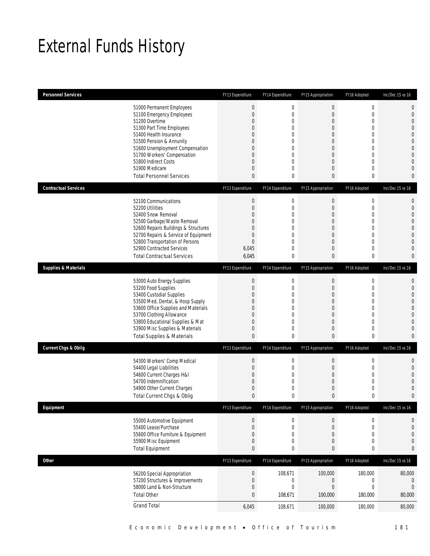## External Funds History

| <b>Personnel Services</b>       |                                                                                                                                                                                                                                                                                                            | FY13 Expenditure                                                                               | FY14 Expenditure                                                                                 | FY15 Appropriation                                                                                                                                                                                       | FY16 Adopted                                                                                                                                                          | Inc/Dec 15 vs 16                                                                                                                                                             |
|---------------------------------|------------------------------------------------------------------------------------------------------------------------------------------------------------------------------------------------------------------------------------------------------------------------------------------------------------|------------------------------------------------------------------------------------------------|--------------------------------------------------------------------------------------------------|----------------------------------------------------------------------------------------------------------------------------------------------------------------------------------------------------------|-----------------------------------------------------------------------------------------------------------------------------------------------------------------------|------------------------------------------------------------------------------------------------------------------------------------------------------------------------------|
|                                 | 51000 Permanent Employees<br>51100 Emergency Employees<br>51200 Overtime<br>51300 Part Time Employees<br>51400 Health Insurance<br>51500 Pension & Annunity<br>51600 Unemployment Compensation<br>51700 Workers' Compensation<br>51800 Indirect Costs<br>51900 Medicare<br><b>Total Personnel Services</b> | $\mathbf 0$<br>$\boldsymbol{0}$<br>0<br>0<br>0<br>0<br>0<br>0<br>0<br>0<br>0                   | 0<br>$\boldsymbol{0}$<br>0<br>$\mathbf 0$<br>0<br>0<br>$\mathbf 0$<br>0<br>0<br>0<br>$\mathbf 0$ | $\boldsymbol{0}$<br>$\boldsymbol{0}$<br>$\overline{0}$<br>$\boldsymbol{0}$<br>$\overline{0}$<br>$\overline{0}$<br>$\overline{0}$<br>$\overline{0}$<br>$\boldsymbol{0}$<br>$\overline{0}$<br>$\mathbf{0}$ | $\boldsymbol{0}$<br>$\mathbf 0$<br>$\mathbf{0}$<br>$\overline{0}$<br>$\mathbf{0}$<br>$\mathbf 0$<br>$\mathbf{0}$<br>$\mathbf{0}$<br>$\mathbf{0}$<br>$\mathbf{0}$<br>0 | 0<br>$\mathbf{0}$<br>$\overline{0}$<br>$\overline{0}$<br>$\overline{0}$<br>$\overline{0}$<br>$\mathbf{0}$<br>$\overline{0}$<br>$\overline{0}$<br>$\mathbf{0}$<br>$\mathbf 0$ |
| <b>Contractual Services</b>     |                                                                                                                                                                                                                                                                                                            | FY13 Expenditure                                                                               | FY14 Expenditure                                                                                 | FY15 Appropriation                                                                                                                                                                                       | FY16 Adopted                                                                                                                                                          | Inc/Dec 15 vs 16                                                                                                                                                             |
|                                 | 52100 Communications<br>52200 Utilities<br>52400 Snow Removal<br>52500 Garbage/Waste Removal<br>52600 Repairs Buildings & Structures<br>52700 Repairs & Service of Equipment<br>52800 Transportation of Persons<br>52900 Contracted Services<br><b>Total Contractual Services</b>                          | $\boldsymbol{0}$<br>$\boldsymbol{0}$<br>0<br>0<br>0<br>0<br>$\boldsymbol{0}$<br>6,045<br>6,045 | $\boldsymbol{0}$<br>0<br>0<br>0<br>$\mathbf 0$<br>0<br>$\mathbf 0$<br>0<br>0                     | $\mathbf 0$<br>0<br>$\overline{0}$<br>$\overline{0}$<br>$\overline{0}$<br>$\mathbf 0$<br>$\boldsymbol{0}$<br>$\mathbf 0$<br>$\mathbf{0}$                                                                 | $\mathbf 0$<br>$\mathbf 0$<br>$\mathbf{0}$<br>$\mathbf{0}$<br>$\mathbf{0}$<br>$\mathbf{0}$<br>$\mathbf{0}$<br>$\mathbf{0}$<br>0                                       | $\mathbf{0}$<br>$\mathbf{0}$<br>$\overline{0}$<br>$\Omega$<br>$\overline{0}$<br>$\overline{0}$<br>$\overline{0}$<br>$\overline{0}$<br>$\mathbf{0}$                           |
| <b>Supplies &amp; Materials</b> |                                                                                                                                                                                                                                                                                                            | FY13 Expenditure                                                                               | FY14 Expenditure                                                                                 | FY15 Appropriation                                                                                                                                                                                       | FY16 Adopted                                                                                                                                                          | Inc/Dec 15 vs 16                                                                                                                                                             |
|                                 | 53000 Auto Energy Supplies<br>53200 Food Supplies<br>53400 Custodial Supplies<br>53500 Med, Dental, & Hosp Supply<br>53600 Office Supplies and Materials<br>53700 Clothing Allowance<br>53800 Educational Supplies & Mat<br>53900 Misc Supplies & Materials<br><b>Total Supplies &amp; Materials</b>       | $\boldsymbol{0}$<br>$\boldsymbol{0}$<br>0<br>0<br>0<br>0<br>0<br>0<br>0                        | $\boldsymbol{0}$<br>$\boldsymbol{0}$<br>0<br>0<br>$\mathbf 0$<br>0<br>0<br>0<br>0                | $\boldsymbol{0}$<br>$\mathbf 0$<br>$\overline{0}$<br>$\overline{0}$<br>$\overline{0}$<br>$\overline{0}$<br>$\overline{0}$<br>$\mathbf 0$<br>$\mathbf{0}$                                                 | $\mathbf 0$<br>$\mathbf 0$<br>$\overline{0}$<br>$\mathbf 0$<br>$\overline{0}$<br>$\mathbf 0$<br>$\mathbf 0$<br>$\mathbf 0$<br>0                                       | $\mathbf{0}$<br>$\mathbf{0}$<br>$\overline{0}$<br>$\overline{0}$<br>$\overline{0}$<br>$\overline{0}$<br>$\overline{0}$<br>$\Omega$<br>$\mathbf{0}$                           |
| <b>Current Chgs &amp; Oblig</b> |                                                                                                                                                                                                                                                                                                            | FY13 Expenditure                                                                               | FY14 Expenditure                                                                                 | FY15 Appropriation                                                                                                                                                                                       | FY16 Adopted                                                                                                                                                          | Inc/Dec 15 vs 16                                                                                                                                                             |
|                                 | 54300 Workers' Comp Medical<br>54400 Legal Liabilities<br>54600 Current Charges H&I<br>54700 Indemnification<br>54900 Other Current Charges<br>Total Current Chgs & Oblig                                                                                                                                  | $\boldsymbol{0}$<br>$\boldsymbol{0}$<br>0<br>0<br>0<br>$\mathbf{0}$                            | $\boldsymbol{0}$<br>$\boldsymbol{0}$<br>0<br>0<br>$\boldsymbol{0}$<br>0                          | $\boldsymbol{0}$<br>0<br>$\mathbf 0$<br>$\overline{0}$<br>0<br>$\mathbf{0}$                                                                                                                              | $\mathbf 0$<br>$\mathbf 0$<br>$\mathbf{0}$<br>$\mathbf{0}$<br>$\mathbf 0$<br>0                                                                                        | $\mathbf{0}$<br>$\mathbf{0}$<br>$\Omega$<br>$\Omega$<br>$\Omega$<br>$\mathbf 0$                                                                                              |
| Equipment                       |                                                                                                                                                                                                                                                                                                            | FY13 Expenditure                                                                               | FY14 Expenditure                                                                                 | FY15 Appropriation                                                                                                                                                                                       | FY16 Adopted                                                                                                                                                          | Inc/Dec 15 vs 16                                                                                                                                                             |
|                                 | 55000 Automotive Equipment<br>55400 Lease/Purchase<br>55600 Office Furniture & Equipment<br>55900 Misc Equipment<br><b>Total Equipment</b>                                                                                                                                                                 | $\boldsymbol{0}$<br>$\boldsymbol{0}$<br>0<br>0<br>0                                            | $\boldsymbol{0}$<br>$\boldsymbol{0}$<br>0<br>$\boldsymbol{0}$<br>0                               | $\boldsymbol{0}$<br>$\mathbf 0$<br>$\mathbf 0$<br>$\boldsymbol{0}$<br>0                                                                                                                                  | $\boldsymbol{0}$<br>$\mathbf 0$<br>$\mathbf{0}$<br>$\mathbf 0$<br>0                                                                                                   | 0<br>$\mathbf{0}$<br>$\mathbf{0}$<br>$\mathbf{0}$<br>$\bf{0}$                                                                                                                |
| Other                           |                                                                                                                                                                                                                                                                                                            | FY13 Expenditure                                                                               | FY14 Expenditure                                                                                 | FY15 Appropriation                                                                                                                                                                                       | FY16 Adopted                                                                                                                                                          | Inc/Dec 15 vs 16                                                                                                                                                             |
|                                 | 56200 Special Appropriation<br>57200 Structures & Improvements<br>58000 Land & Non-Structure<br><b>Total Other</b>                                                                                                                                                                                         | $\boldsymbol{0}$<br>$\boldsymbol{0}$<br>0<br>$\bf{0}$                                          | 108,671<br>$\boldsymbol{0}$<br>$\boldsymbol{0}$<br>108,671                                       | 100,000<br>0<br>$\mathbf 0$<br>100,000                                                                                                                                                                   | 180,000<br>$\boldsymbol{0}$<br>$\mathbf 0$<br>180,000                                                                                                                 | 80,000<br>0<br>$\mathbf{0}$<br>80,000                                                                                                                                        |
|                                 | <b>Grand Total</b>                                                                                                                                                                                                                                                                                         | 6,045                                                                                          | 108,671                                                                                          | 100,000                                                                                                                                                                                                  | 180,000                                                                                                                                                               | 80,000                                                                                                                                                                       |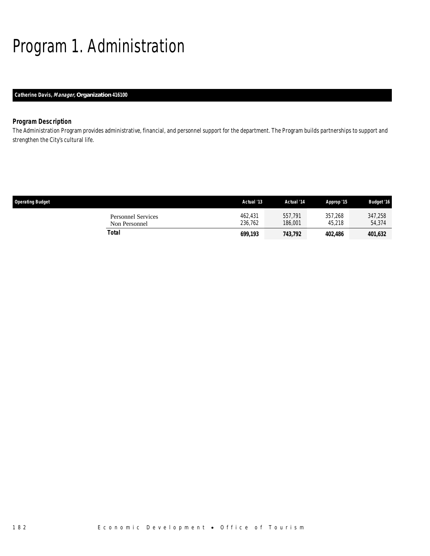# Program 1. Administration

### *Catherine Davis, Manager, Organization 416100*

### *Program Description*

The Administration Program provides administrative, financial, and personnel support for the department. The Program builds partnerships to support and strengthen the City's cultural life.

| <b>Operating Budget</b>                    | Actual '13         | Actual '14         | Approp '15        | <b>Budget '16</b> |
|--------------------------------------------|--------------------|--------------------|-------------------|-------------------|
| <b>Personnel Services</b><br>Non Personnel | 462.431<br>236.762 | 557.791<br>186,001 | 357,268<br>45.218 | 347,258<br>54,374 |
| Total                                      | 699.193            | 743,792            | 402,486           | 401,632           |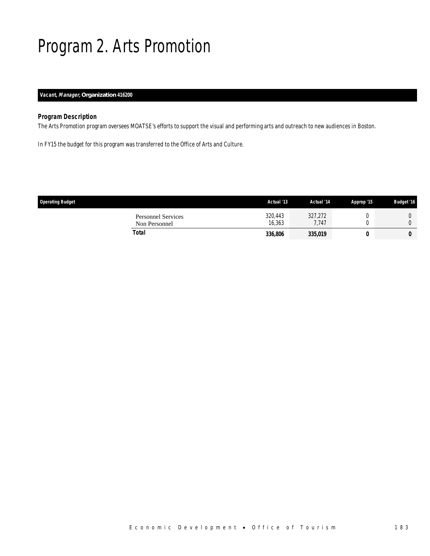## Program 2. Arts Promotion

### *Vacant, Manager, Organization 416200*

### *Program Description*

I

The Arts Promotion program oversees MOATSE's efforts to support the visual and performing arts and outreach to new audiences in Boston.

In FY15 the budget for this program was transferred to the Office of Arts and Culture.

| <b>Operating Budget</b>                    | Actual '13        | Actual '14       | Approp '15 | <b>Budget '16</b> |
|--------------------------------------------|-------------------|------------------|------------|-------------------|
| <b>Personnel Services</b><br>Non Personnel | 320,443<br>16,363 | 327,272<br>7.747 |            |                   |
| Total                                      | 336,806           | 335,019          |            |                   |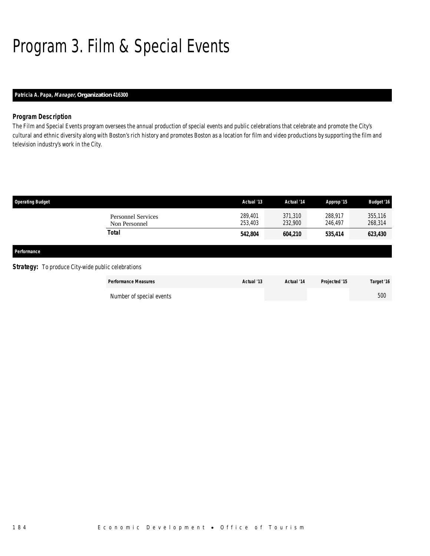# Program 3. Film & Special Events

### *Patricia A. Papa, Manager, Organization 416300*

### *Program Description*

The Film and Special Events program oversees the annual production of special events and public celebrations that celebrate and promote the City's cultural and ethnic diversity along with Boston's rich history and promotes Boston as a location for film and video productions by supporting the film and television industry's work in the City.

| <b>Operating Budget</b>                                   |                                            | Actual '13         | Actual '14         | Approp '15         | <b>Budget '16</b>  |
|-----------------------------------------------------------|--------------------------------------------|--------------------|--------------------|--------------------|--------------------|
|                                                           | <b>Personnel Services</b><br>Non Personnel | 289,401<br>253,403 | 371,310<br>232,900 | 288,917<br>246,497 | 355,116<br>268,314 |
|                                                           | <b>Total</b>                               | 542,804            | 604,210            | 535,414            | 623,430            |
| Performance                                               |                                            |                    |                    |                    |                    |
| <b>Strategy:</b> To produce City-wide public celebrations |                                            |                    |                    |                    |                    |
|                                                           | <b>Performance Measures</b>                | Actual '13         | Actual '14         | Projected '15      | Target '16         |
|                                                           | Number of special events                   |                    |                    |                    | 500                |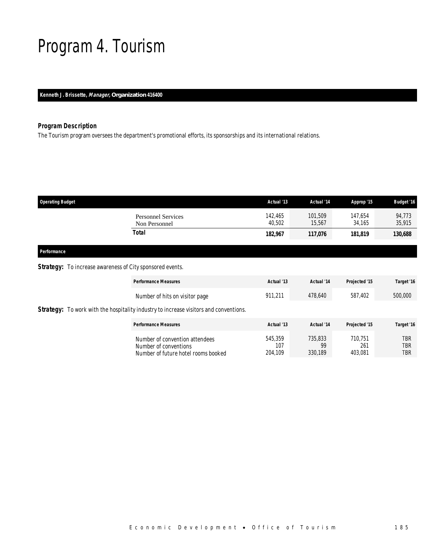## Program 4. Tourism

*Kenneth J. Brissette, Manager, Organization 416400* 

### *Program Description*

The Tourism program oversees the department's promotional efforts, its sponsorships and its international relations.

| 142.465                                              |                   |                   |                  |
|------------------------------------------------------|-------------------|-------------------|------------------|
| <b>Personnel Services</b><br>40,502<br>Non Personnel | 101,509<br>15.567 | 147.654<br>34.165 | 94.773<br>35,915 |
| Total<br>182,967                                     | 117,076           | 181,819           | 130,688          |

### *Performance*

### **Strategy:** To increase awareness of City sponsored events.

| <b>Performance Measures</b>                                                                    | Actual '13                | Actual '14               | Projected '15             | Target '16        |
|------------------------------------------------------------------------------------------------|---------------------------|--------------------------|---------------------------|-------------------|
| Number of hits on visitor page                                                                 | 911.211                   | 478,640                  | 587.402                   | 500,000           |
| <b>Strategy:</b> To work with the hospitality industry to increase visitors and conventions.   |                           |                          |                           |                   |
| <b>Performance Measures</b>                                                                    | Actual '13                | Actual '14               | Projected '15             | Target '16        |
| Number of convention attendees<br>Number of conventions<br>Number of future hotel rooms booked | 545.359<br>107<br>204,109 | 735,833<br>99<br>330.189 | 710.751<br>261<br>403,081 | TBR<br>TBR<br>TBR |